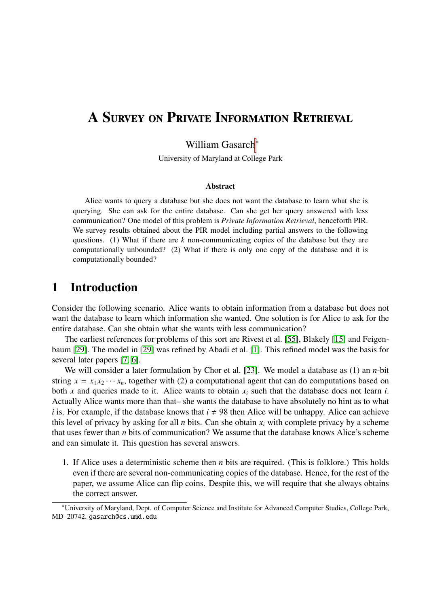# A Survey on Private Information Retrieval

### William Gasarch<sup>∗</sup>

University of Maryland at College Park

#### Abstract

Alice wants to query a database but she does not want the database to learn what she is querying. She can ask for the entire database. Can she get her query answered with less communication? One model of this problem is *Private Information Retrieval*, henceforth PIR. We survey results obtained about the PIR model including partial answers to the following questions. (1) What if there are *k* non-communicating copies of the database but they are computationally unbounded? (2) What if there is only one copy of the database and it is computationally bounded?

## 1 Introduction

Consider the following scenario. Alice wants to obtain information from a database but does not want the database to learn which information she wanted. One solution is for Alice to ask for the entire database. Can she obtain what she wants with less communication?

The earliest references for problems of this sort are Rivest et al. [\[55\]](#page-30-0), Blakely [\[15\]](#page-28-0) and Feigenbaum [\[29\]](#page-29-0). The model in [\[29\]](#page-29-0) was refined by Abadi et al. [\[1\]](#page-27-0). This refined model was the basis for several later papers [\[7,](#page-27-1) [6\]](#page-27-2).

We will consider a later formulation by Chor et al. [\[23\]](#page-28-1). We model a database as (1) an *n*-bit string  $x = x_1 x_2 \cdots x_n$ , together with (2) a computational agent that can do computations based on both *x* and queries made to it. Alice wants to obtain *x<sup>i</sup>* such that the database does not learn *i*. Actually Alice wants more than that– she wants the database to have absolutely no hint as to what *i* is. For example, if the database knows that  $i \neq 98$  then Alice will be unhappy. Alice can achieve this level of privacy by asking for all *n* bits. Can she obtain  $x_i$  with complete privacy by a scheme that uses fewer than *n* bits of communication? We assume that the database knows Alice's scheme and can simulate it. This question has several answers.

1. If Alice uses a deterministic scheme then *n* bits are required. (This is folklore.) This holds even if there are several non-communicating copies of the database. Hence, for the rest of the paper, we assume Alice can flip coins. Despite this, we will require that she always obtains the correct answer.

<sup>∗</sup>University of Maryland, Dept. of Computer Science and Institute for Advanced Computer Studies, College Park, MD 20742. gasarch@cs.umd.edu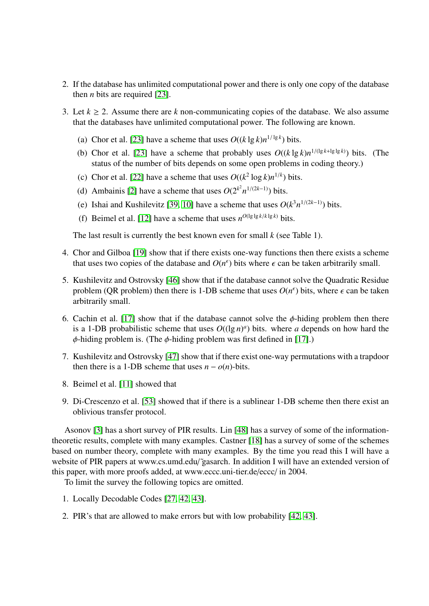- 2. If the database has unlimited computational power and there is only one copy of the database then *n* bits are required [\[23\]](#page-28-1).
- 3. Let  $k \ge 2$ . Assume there are k non-communicating copies of the database. We also assume that the databases have unlimited computational power. The following are known.
	- (a) Chor et al. [\[23\]](#page-28-1) have a scheme that uses  $O((k \lg k)n^{1/\lg k})$  bits.
	- (b) Chor et al. [\[23\]](#page-28-1) have a scheme that probably uses  $O((k \lg k)n^{1/(lg k + \lg \lg k)})$  bits. (The status of the number of bits depends on some open problems in coding theory.)
	- (c) Chor et al. [\[22\]](#page-28-2) have a scheme that uses  $O((k^2 \log k)n^{1/k})$  bits.
	- (d) Ambainis [\[2\]](#page-27-3) have a scheme that uses  $O(2^{k^2} n^{1/(2k-1)})$  bits.
	- (e) Ishai and Kushilevitz [\[39,](#page-29-1) [10\]](#page-27-4) have a scheme that uses  $O(k^3 n^{1/(2k-1)})$  bits.
	- (f) Beimel et al. [\[12\]](#page-28-3) have a scheme that uses  $n^{O(\lg \lg k / k \lg k)}$  bits.

The last result is currently the best known even for small *k* (see Table 1).

- 4. Chor and Gilboa [\[19\]](#page-28-4) show that if there exists one-way functions then there exists a scheme that uses two copies of the database and  $O(n^{\epsilon})$  bits where  $\epsilon$  can be taken arbitrarily small.
- 5. Kushilevitz and Ostrovsky [\[46\]](#page-30-1) show that if the database cannot solve the Quadratic Residue problem (QR problem) then there is 1-DB scheme that uses  $O(n^{\epsilon})$  bits, where  $\epsilon$  can be taken arbitrarily small arbitrarily small.
- 6. Cachin et al. [\[17\]](#page-28-5) show that if the database cannot solve the  $\phi$ -hiding problem then there is a 1-DB probabilistic scheme that uses  $O((\lg n)^a)$  bits. where *a* depends on how hard the  $\phi$ -hiding problem is. (The  $\phi$ -hiding problem was first defined in [\[17\]](#page-28-5).)
- 7. Kushilevitz and Ostrovsky [\[47\]](#page-30-2) show that if there exist one-way permutations with a trapdoor then there is a 1-DB scheme that uses  $n - o(n)$ -bits.
- 8. Beimel et al. [\[11\]](#page-28-6) showed that
- 9. Di-Crescenzo et al. [\[53\]](#page-30-3) showed that if there is a sublinear 1-DB scheme then there exist an oblivious transfer protocol.

Asonov [\[3\]](#page-27-5) has a short survey of PIR results. Lin [\[48\]](#page-30-4) has a survey of some of the informationtheoretic results, complete with many examples. Castner [\[18\]](#page-28-7) has a survey of some of the schemes based on number theory, complete with many examples. By the time you read this I will have a website of PIR papers at www.cs.umd.edu/ gasarch. In addition I will have an extended version of this paper, with more proofs added, at www.eccc.uni-tier.de/eccc/ in 2004.

To limit the survey the following topics are omitted.

- 1. Locally Decodable Codes [\[27,](#page-29-2) [42,](#page-30-5) [43\]](#page-30-6).
- 2. PIR's that are allowed to make errors but with low probability [\[42,](#page-30-5) [43\]](#page-30-6).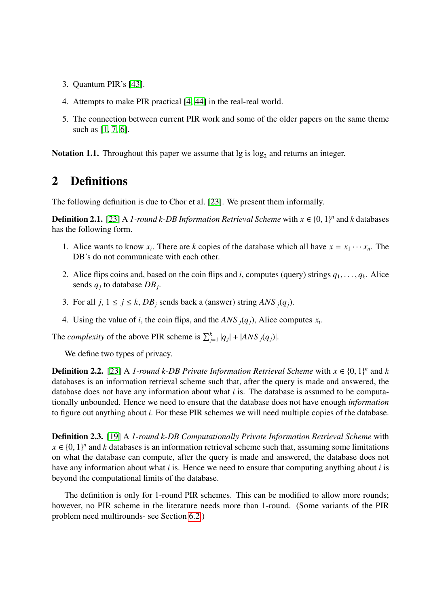- 3. Quantum PIR's [\[43\]](#page-30-6).
- 4. Attempts to make PIR practical [\[4,](#page-27-6) [44\]](#page-30-7) in the real-real world.
- 5. The connection between current PIR work and some of the older papers on the same theme such as [\[1,](#page-27-0) [7,](#page-27-1) [6\]](#page-27-2).

**Notation 1.1.** Throughout this paper we assume that  $\lg$  is  $\log_2$  and returns an integer.

## 2 Definitions

The following definition is due to Chor et al. [\[23\]](#page-28-1). We present them informally.

**Definition 2.1.** [\[23\]](#page-28-1) A *1-round k-DB Information Retrieval Scheme* with  $x \in \{0, 1\}^n$  and *k* databases has the following form has the following form.

- 1. Alice wants to know  $x_i$ . There are *k* copies of the database which all have  $x = x_1 \cdots x_n$ . The DB's do not communicate with each other.
- 2. Alice flips coins and, based on the coin flips and *i*, computes (query) strings  $q_1, \ldots, q_k$ . Alice sends *q*<sub>1</sub> to database *DR*. sends *q<sup>j</sup>* to database *DB<sup>j</sup>* .
- 3. For all  $j, 1 \le j \le k$ ,  $DB_j$  sends back a (answer) string  $ANS_j(q_j)$ .
- 4. Using the value of *i*, the coin flips, and the *ANS*  $_j(q_j)$ , Alice computes  $x_i$ .

The *complexity* of the above PIR scheme is  $\sum_{j=1}^{k} |q_j| + |ANS_j(q_j)|$ .

We define two types of privacy.

**Definition 2.2.** [\[23\]](#page-28-1) A *1-round k-DB Private Information Retrieval Scheme* with  $x \in \{0, 1\}^n$  and *k* databases is an information retrieval scheme such that after the query is made and answered, the databases is an information retrieval scheme such that, after the query is made and answered, the database does not have any information about what *i* is. The database is assumed to be computationally unbounded. Hence we need to ensure that the database does not have enough *information* to figure out anything about *i*. For these PIR schemes we will need multiple copies of the database.

Definition 2.3. [\[19\]](#page-28-4) A *1-round k-DB Computationally Private Information Retrieval Scheme* with  $x \in \{0, 1\}^n$  and *k* databases is an information retrieval scheme such that, assuming some limitations<br>on what the database can compute after the query is made and answered, the database does not on what the database can compute, after the query is made and answered, the database does not have any information about what *i* is. Hence we need to ensure that computing anything about *i* is beyond the computational limits of the database.

The definition is only for 1-round PIR schemes. This can be modified to allow more rounds; however, no PIR scheme in the literature needs more than 1-round. (Some variants of the PIR problem need multirounds- see Section [6.2.](#page-17-0))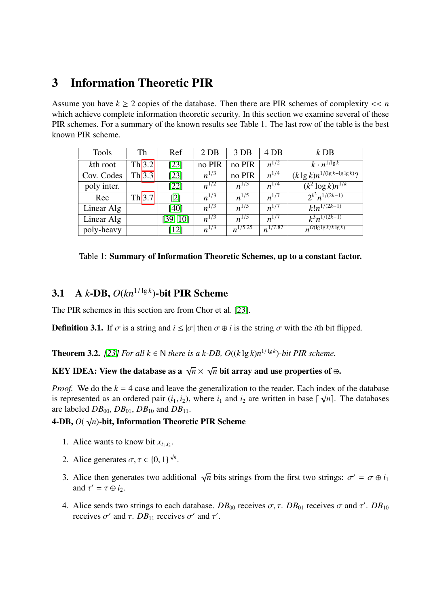# <span id="page-3-1"></span>3 Information Theoretic PIR

Assume you have  $k \ge 2$  copies of the database. Then there are PIR schemes of complexity  $\lt \lt n$ which achieve complete information theoretic security. In this section we examine several of these PIR schemes. For a summary of the known results see Table 1. The last row of the table is the best known PIR scheme.

| <b>Tools</b> | Th     | Ref               | 2 <sub>DB</sub> | 3 DB         | 4 DB         | $k$ DB                                 |
|--------------|--------|-------------------|-----------------|--------------|--------------|----------------------------------------|
| kth root     | Th 3.2 | [23]              | no PIR          | no PIR       | $n^{1/2}$    | $k \cdot n^{1/\lg k}$                  |
| Cov. Codes   | Th 3.3 | $[23]$            | $n^{1/3}$       | no PIR       | $n^{1/4}$    | $(k \lg k)n^{1/( \lg k + \lg \lg k)}?$ |
| poly inter.  |        | [22]              | $n^{1/2}$       | $n^{1/3}$    | $n^{1/4}$    | $(k^2 \log k)n^{1/k}$                  |
| Rec          | Th 3.7 | $\lceil 2 \rceil$ | $n^{1/3}$       | $n^{1/5}$    | $n^{1/7}$    | $2^{k^2}n^{1/(2k-1)}$                  |
| Linear Alg   |        | [40]              | $n^{1/3}$       | $n^{1/5}$    | $n^{1/7}$    | $k!n^{\overline{1/(2k-1)}}$            |
| Linear Alg   |        | [39, 10]          | $n^{1/3}$       | $n^{1/5}$    | $n^{1/7}$    | $k^3n^{1/(2k-1)}$                      |
| poly-heavy   |        | [12]              | $n^{1/3}$       | $n^{1/5.25}$ | $n^{1/7.87}$ | $n^{O(\lg\lg k/k\lg k)}$               |

|  | Table 1: Summary of Information Theoretic Schemes, up to a constant factor. |  |
|--|-----------------------------------------------------------------------------|--|
|  |                                                                             |  |

# 3.1 A *k*-DB,  $O(kn^{1/\lg k})$ -bit PIR Scheme

The PIR schemes in this section are from Chor et al. [\[23\]](#page-28-1).

**Definition 3.1.** If  $\sigma$  is a string and  $i \le |\sigma|$  then  $\sigma \oplus i$  is the string  $\sigma$  with the *i*th bit flipped.

<span id="page-3-0"></span>**Theorem 3.2.** *[\[23\]](#page-28-1) For all k* ∈ N *there is a k-DB*,  $O((k \lg k)n^{1/\lg k})$ -bit PIR scheme.

#### KEY IDEA: View the database as a  $\sqrt{n} \times$ √  $\overline{n}$  bit array and use properties of ⊕.

*Proof.* We do the  $k = 4$  case and leave the generalization to the reader. Each index of the database is represented as an ordered pair  $(i_1, i_2)$ , where  $i_1$  and  $i_2$  are written in base  $\lceil \sqrt{n} \rceil$ . The databases are labeled  $DB_{00}$ ,  $DB_{01}$ ,  $DB_{10}$  and  $DB_{11}$ .

#### 4-DB, *O*( √ *n*)-bit, Information Theoretic PIR Scheme

- 1. Alice wants to know bit  $x_{i_1,i_2}$ .
- 2. Alice generates  $\sigma, \tau \in \{0, 1\}^{\sqrt{n}}$ .
- 3. Alice then generates two additional  $\sqrt{}$  $\overline{n}$  bits strings from the first two strings:  $\sigma' = \sigma \oplus i_1$ and  $\tau' = \tau \oplus i_2$ .
- 4. Alice sends two strings to each database.  $DB_{00}$  receives  $\sigma$ ,  $\tau$ .  $DB_{01}$  receives  $\sigma'$  and  $\tau'$ .  $DB_{10}$  receives  $\sigma'$  and  $\tau'$ receives  $\sigma'$  and  $\tau$ . *DB*<sub>11</sub> receives  $\sigma'$  and  $\tau'$ .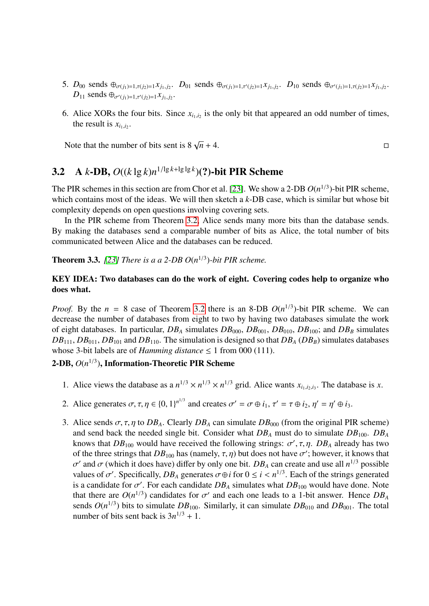- 5.  $D_{00}$  sends  $\oplus_{\sigma(j_1)=1,\tau(j_2)=1}$   $x_{j_1,j_2}$ .  $D_{01}$  sends  $\oplus_{\sigma(j_1)=1,\tau'(j_2)=1}$   $x_{j_1,j_2}$ .  $D_{10}$  sends  $\oplus_{\sigma'(j_1)=1,\tau(j_2)=1}$   $x_{j_1,j_2}$ .  $D_{11}$  sends  $\bigoplus_{\sigma'(j_1)=1, \tau'(j_2)=1} x_{j_1, j_2}$ .
- 6. Alice XORs the four bits. Since  $x_{i_1,i_2}$  is the only bit that appeared an odd number of times, the result is  $x_{i_1,i_2}$ .

Note that the number of bits sent is  $8\sqrt{n} + 4$ .  $\overline{n}$  + 4.

# <span id="page-4-1"></span>3.2 A *k*-DB,  $O((k \lg k)n^{1/\lg k + \lg \lg k})$ (?)-bit PIR Scheme

The PIR schemes in this section are from Chor et al. [\[23\]](#page-28-1). We show a 2-DB  $O(n^{1/3})$ -bit PIR scheme, which contains most of the ideas. We will then sketch a *k*-DB case, which is similar but whose bit complexity depends on open questions involving covering sets.

In the PIR scheme from Theorem [3.2,](#page-3-0) Alice sends many more bits than the database sends. By making the databases send a comparable number of bits as Alice, the total number of bits communicated between Alice and the databases can be reduced.

<span id="page-4-0"></span>**Theorem 3.3.** [\[23\]](#page-28-1) There is a a 2-DB  $O(n^{1/3})$ -bit PIR scheme.

#### KEY IDEA: Two databases can do the work of eight. Covering codes help to organize who does what.

*Proof.* By the  $n = 8$  case of Theorem [3.2](#page-3-0) there is an 8-DB  $O(n^{1/3})$ -bit PIR scheme. We can decrease the number of databases from eight to two by having two databases simulate the work of eight databases. In particular, *DB<sup>A</sup>* simulates *DB*000, *DB*001, *DB*010, *DB*100; and *DB<sup>B</sup>* simulates  $DB_{111}$ ,  $DB_{011}$ ,  $DB_{101}$  and  $DB_{110}$ . The simulation is designed so that  $DB_A$  ( $DB_B$ ) simulates databases whose 3-bit labels are of *Hamming distance*  $\leq 1$  from 000 (111).

## 2-DB, *O*(*n* 1/3 ), Information-Theoretic PIR Scheme

- 1. Alice views the database as a  $n^{1/3} \times n^{1/3} \times n^{1/3}$  grid. Alice wants  $x_{i_1,i_2,i_3}$ . The database is *x*.
- 2. Alice generates  $\sigma, \tau, \eta \in \{0, 1\}^{n^{1/3}}$  and creates  $\sigma' = \sigma \oplus i_1, \tau' = \tau \oplus i_2, \eta' = \eta' \oplus i_3$ .
- 3. Alice sends  $\sigma$ ,  $\tau$ ,  $\eta$  to  $DB_A$ . Clearly  $DB_A$  can simulate  $DB_{000}$  (from the original PIR scheme) and send back the needed single bit. Consider what  $DB_A$  must do to simulate  $DB_{100}$ .  $DB_A$ knows that  $DB_{100}$  would have received the following strings:  $\sigma'$ ,  $\tau$ ,  $\eta$ .  $DB_A$  already has two of the three strings that  $DB_{100}$  has (namely  $\tau$  n) but does not have  $\sigma'$ ; however, it knows that of the three strings that  $DB_{100}$  has (namely,  $\tau$ ,  $\eta$ ) but does not have  $\sigma'$ ; however, it knows that  $\sigma'$  and  $\sigma$  (which it does have) differ by only one bit. *DR*, can create and use all  $n^{1/3}$  possible values of  $\sigma'$ . Specifically,  $DB_A$  generates  $\sigma \oplus i$  for  $0 \le i \le n^{1/3}$ . Each of the strings generated<br>is a candidate for  $\sigma'$ . For each candidate  $DB$ , simulates what  $DB_{\text{cos}}$  would have done. Note and  $\sigma$  (which it does have) differ by only one bit.  $DB_A$  can create and use all  $n^{1/3}$  possible values of  $\sigma'$ . Specifically,  $DB_A$  generates  $\sigma \oplus i$  for  $0 \le i \le n^{1/3}$ . Each of the strings generated is a candidate for  $\sigma'$ . For each candidate  $DB_A$  simulates what  $DB_{100}$  would have done. Note<br>that there are  $O(n^{1/3})$  candidates for  $\sigma'$  and each one leads to a 1-bit answer. Hence  $DB$ . that there are  $O(n^{1/3})$  candidates for  $\sigma'$  and each one leads to a 1-bit answer. Hence  $DB_A$ <br>sends  $O(n^{1/3})$  bits to simulate  $DB_{\text{cos}}$ . Similarly, it can simulate  $DB_{\text{cos}}$  and  $DB_{\text{cos}}$ . The total sends  $O(n^{1/3})$  bits to simulate  $DB_{100}$ . Similarly, it can simulate  $DB_{010}$  and  $DB_{001}$ . The total number of bits sent back is  $3n^{1/3} + 1$ .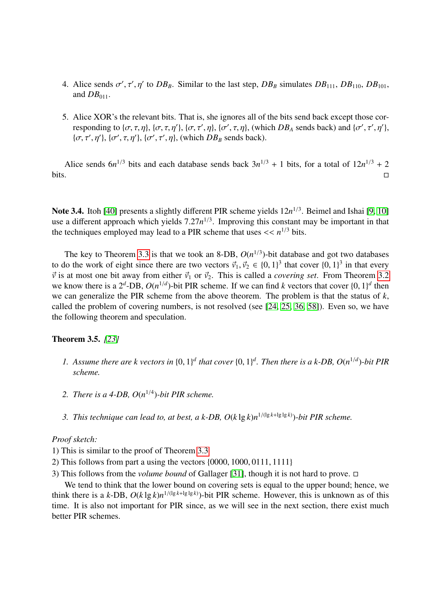- 4. Alice sends  $\sigma'$ ,  $\tau'$ ,  $\eta'$  to  $DB_B$ . Similar to the last step,  $DB_B$  simulates  $DB_{111}$ ,  $DB_{110}$ ,  $DB_{101}$ , and  $DB_{01}$ and  $DB_{011}$ .
- 5. Alice XOR's the relevant bits. That is, she ignores all of the bits send back except those corresponding to  $\{\sigma, \tau, \eta\}$ ,  $\{\sigma, \tau, \eta'\}$ ,  $\{\sigma, \tau', \eta\}$ ,  $\{\sigma', \tau, \eta\}$ , (which *DB*<sub>*A*</sub> sends back) and  $\{\sigma', \tau', \eta'\}$ ,  $\{\sigma, \tau', \eta'\}$ ,  $\{\sigma, \tau', \eta'\}$ ,  $\{\sigma, \tau', \eta'\}$ ,  $\{\sigma, \tau', \eta'\}$ ,  $\{\sigma, \tau', \eta'\}$ ,  $\{\sigma, \tau', \eta'\}$ ,  $\{\sigma, \tau', \$  $\{\sigma, \tau', \eta'\}, \{\sigma', \tau, \eta'\}, \{\sigma', \tau', \eta\}, \text{ (which } DB_B \text{ sends back)}.$

Alice sends  $6n^{1/3}$  bits and each database sends back  $3n^{1/3} + 1$  bits, for a total of  $12n^{1/3} + 2$  $\blacksquare$ 

Note 3.4. Itoh [\[40\]](#page-29-3) presents a slightly different PIR scheme yields  $12n^{1/3}$ . Beimel and Ishai [\[9,](#page-27-7) [10\]](#page-27-4) use a different approach which yields  $7.27n^{1/3}$ . Improving this constant may be important in that the techniques employed may lead to a PIR scheme that uses  $\leq$   $\leq$   $n^{1/3}$  bits the techniques employed may lead to a PIR scheme that uses  $<< n^{1/3}$  bits.

The key to Theorem [3.3](#page-4-0) is that we took an 8-DB,  $O(n^{1/3})$ -bit database and got two databases to do the work of eight since there are two vectors  $\vec{v}_1, \vec{v}_2 \in \{0, 1\}^3$  that cover  $\{0, 1\}^3$  in that every  $\vec{v}_2$  is at most one bit away from either  $\vec{v}_2$  or  $\vec{v}_2$ . This is called a *covering set*. Fro  $\vec{v}$  is at most one bit away from either  $\vec{v}_1$  or  $\vec{v}_2$ . This is called a *covering set*. From Theorem [3.2](#page-3-0) we know there is a  $2^d$ -DB,  $O(n^{1/d})$ -bit PIR scheme. If we can find *k* vectors that cover  $\{0, 1\}^d$  then<br>we can generalize the PIR scheme from the above theorem. The problem is that the status of *k* we can generalize the PIR scheme from the above theorem. The problem is that the status of *k*, called the problem of covering numbers, is not resolved (see [\[24,](#page-28-8) [25,](#page-28-9) [36,](#page-29-4) [58\]](#page-30-8)). Even so, we have the following theorem and speculation.

Theorem 3.5. *[\[23\]](#page-28-1)*

- *1.* Assume there are k vectors in  $\{0, 1\}^d$  that cover  $\{0, 1\}^d$ . Then there is a k-DB,  $O(n^{1/d})$ -bit PIR scheme *scheme.*
- 2. There is a 4-DB,  $O(n^{1/4})$ -bit PIR scheme.
- *3. This technique can lead to, at best, a k-DB, O*(*k* lg *k*)*n* <sup>1</sup>/(lg *<sup>k</sup>*+lg lg *<sup>k</sup>*) )*-bit PIR scheme.*

#### *Proof sketch:*

1) This is similar to the proof of Theorem [3.3](#page-4-0)

2) This follows from part a using the vectors {0000, <sup>1000</sup>, <sup>0111</sup>, <sup>1111</sup>}

3) This follows from the *volume bound* of Gallager [\[31\]](#page-29-5), though it is not hard to prove.

We tend to think that the lower bound on covering sets is equal to the upper bound; hence, we think there is a *k*-DB,  $O(k \lg k) n^{1/(lg k + \lg \lg k)}$ -bit PIR scheme. However, this is unknown as of this time. It is also not important for PIR since, as we will see in the next section, there exist much better PIR schemes.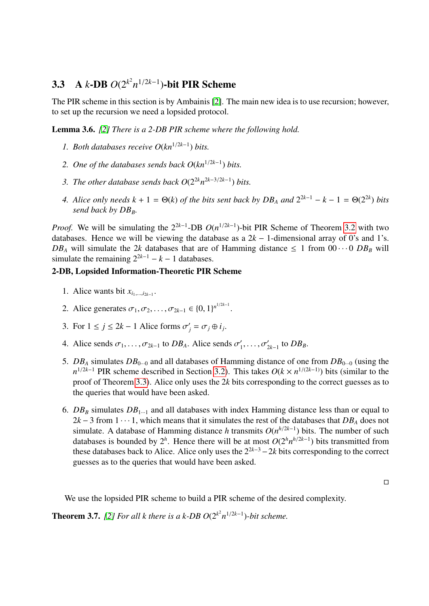# 3.3 A *k*-DB  $O(2^{k^2}n^{1/2k-1})$ -bit PIR Scheme

The PIR scheme in this section is by Ambainis [\[2\]](#page-27-3). The main new idea is to use recursion; however, to set up the recursion we need a lopsided protocol.

Lemma 3.6. *[\[2\]](#page-27-3) There is a 2-DB PIR scheme where the following hold.*

- 1. Both databases receive  $O(kn^{1/2k-1})$  bits.
- *2. One of the databases sends back O*(*kn*<sup>1</sup>/2*k*−<sup>1</sup> ) *bits.*
- 3. The other database sends back  $O(2^{2k}n^{2k-3/2k-1})$  bits.
- *4. Alice only needs*  $k + 1 = \Theta(k)$  *of the bits sent back by*  $DB_A$  *and*  $2^{2k-1} k 1 = \Theta(2^{2k})$  *bits send back by DB<sub>B</sub>.*

*Proof.* We will be simulating the  $2^{2k-1}$ -DB  $O(n^{1/2k-1})$ -bit PIR Scheme of Theorem [3.2](#page-3-0) with two databases. Hence we will be viewing the database as a  $2k - 1$ -dimensional array of 0's and 1's.  $DB_A$  will simulate the 2*k* databases that are of Hamming distance  $\leq 1$  from  $00 \cdots 0$   $DB_B$  will simulate the remaining  $2^{2k-1} - k - 1$  databases.

### 2-DB, Lopsided Information-Theoretic PIR Scheme

- 1. Alice wants bit  $x_{i_1,\dots,i_{2k-1}}$ .
- 2. Alice generates  $\sigma_1, \sigma_2, ..., \sigma_{2k-1} \in \{0, 1\}^{n^{1/2k-1}}$ .
- 3. For  $1 \le j \le 2k 1$  Alice forms  $\sigma'_j = \sigma_j \oplus i_j$ .
- 4. Alice sends  $\sigma_1, \ldots, \sigma_{2k-1}$  to  $DB_A$ . Alice sends  $\sigma'_1$  $\sigma'_{2k-1}$  to *DB*<sub>*B*</sub>.
- 5.  $DB_A$  simulates  $DB_{0\cdots 0}$  and all databases of Hamming distance of one from  $DB_{0\cdots 0}$  (using the  $n^{1/2k-1}$  PIR scheme described in Section [3.2\)](#page-4-1). This takes  $O(k \times n^{1/(2k-1)})$  bits (similar to the proof of Theorem [3.3\)](#page-4-0). Alice only uses the 2*k* bits corresponding to the correct guesses as to the queries that would have been asked.
- 6.  $DB_B$  simulates  $DB_{1\cdots 1}$  and all databases with index Hamming distance less than or equal to  $2k-3$  from  $1 \cdot \cdot \cdot 1$ , which means that it simulates the rest of the databases that  $DB_A$  does not simulate. A database of Hamming distance *h* transmits  $O(n^{h/2k-1})$  bits. The number of such databases is bounded by  $2^h$ . Hence there will be at most  $O(2^h n^{h/2k-1})$  bits transmitted from these databases back to Alice. Alice only uses the  $2^{2k-3}-2k$  bits corresponding to the correct guesses as to the queries that would have been asked.

 $\Box$ 

We use the lopsided PIR scheme to build a PIR scheme of the desired complexity.

<span id="page-6-0"></span>**Theorem 3.7.** [\[2\]](#page-27-3) For all k there is a k-DB  $O(2^{k^2}n^{1/2k-1})$ -bit scheme.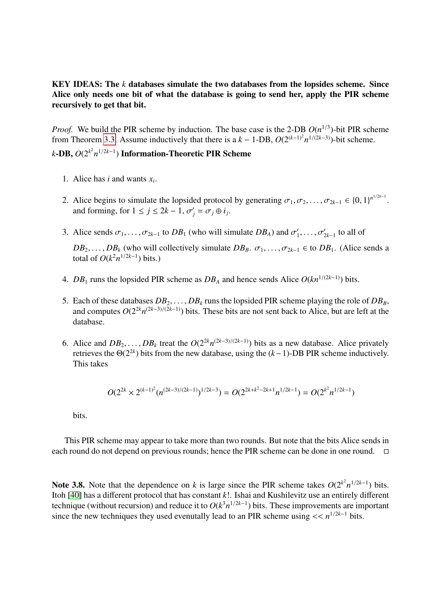### KEY IDEAS: The *k* databases simulate the two databases from the lopsides scheme. Since Alice only needs one bit of what the database is going to send her, apply the PIR scheme recursively to get that bit.

*Proof.* We build the PIR scheme by induction. The base case is the 2-DB  $O(n^{1/3})$ -bit PIR scheme from Theorem [3.3.](#page-4-0) Assume inductively that there is a  $k - 1$ -DB,  $O(2^{(k-1)^2}n^{1/(2k-3)})$ -bit scheme.

## *k*−DB,  $O(2^{k^2}n^{1/2k-1})$  Information-Theoretic PIR Scheme

- 1. Alice has *i* and wants  $x_i$ .
- 2. Alice begins to simulate the lopsided protocol by generating  $\sigma_1, \sigma_2, \ldots, \sigma_{2k-1} \in \{0, 1\}^{n^{1/2k-1}}$ . and forming, for  $1 \le j \le 2k - 1$ ,  $\sigma'_j = \sigma_j \oplus i_j$ .
- 3. Alice sends  $\sigma_1, \ldots, \sigma_{2k-1}$  to  $DB_1$  (who will simulate  $DB_A$ ) and  $\sigma'_1$  $\sigma'_{2k-1}$  to all of

 $DB_2, \ldots, DB_k$  (who will collectively simulate  $DB_B$ .  $\sigma_1, \ldots, \sigma_{2k-1} \in$  to  $DB_1$ . (Alice sends a total of  $O(k^2n^{1/2k-1})$  bits.)

- 4. *DB*<sub>1</sub> runs the lopsided PIR scheme as  $DB_A$  and hence sends Alice  $O(kn^{1/(2k-1)})$  bits.
- 5. Each of these databases  $DB_2, \ldots, DB_k$  runs the lopsided PIR scheme playing the role of  $DB_B$ , and computes  $O(2^{2k}n^{(2k-3)/(2k-1)})$  bits. These bits are not sent back to Alice, but are left at the database.
- 6. Alice and  $DB_2, \ldots, DB_k$  treat the  $O(2^{2k}n^{(2k-3)/(2k-1)})$  bits as a new database. Alice privately retrieves the  $\Theta(2^{2k})$  bits from the new database, using the  $(k-1)$ -DB PIR scheme inductively retrieves the  $\Theta(2^{2k})$  bits from the new database, using the  $(k-1)$ -DB PIR scheme inductively. This takes

$$
O(2^{2k} \times 2^{(k-1)^2} (n^{(2k-3)/(2k-1)})^{1/2k-3}) = O(2^{2k+k^2-2k+1} n^{1/2k-1}) = O(2^{k^2} n^{1/2k-1})
$$

bits.

This PIR scheme may appear to take more than two rounds. But note that the bits Alice sends in each round do not depend on previous rounds; hence the PIR scheme can be done in one round.

Note 3.8. Note that the dependence on *k* is large since the PIR scheme takes  $O(2^{k^2}n^{1/2k-1})$  bits. Itoh [\[40\]](#page-29-3) has a different protocol that has constant *k*!. Ishai and Kushilevitz use an entirely different technique (without recursion) and reduce it to  $O(k^3n^{1/2k-1})$  bits. These improvements are important since the new techniques they used evenutally lead to an PIR scheme using  $\lt \lt n^{1/2k-1}$  bits.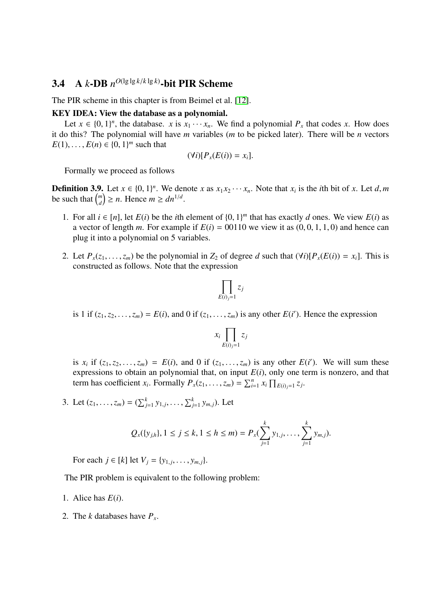# 3.4 A *k*-DB  $n^{O(\lg\lg k/k\lg k)}$ -bit PIR Scheme

The PIR scheme in this chapter is from Beimel et al. [\[12\]](#page-28-3).

#### KEY IDEA: View the database as a polynomial.

Let  $x \in \{0, 1\}^n$ , the database. *x* is  $x_1 \cdots x_n$ . We find a polynomial  $P_x$  that codes *x*. How does of this 2. The polynomial will have *m* variables (*m* to be picked later). There will be *n* vectors it do this? The polynomial will have *m* variables (*m* to be picked later). There will be *n* vectors *E*(1), ..., *E*(*n*)  $\in$  {0, 1}<sup>*m*</sup> such that

$$
(\forall i)[P_x(E(i))=x_i].
$$

Formally we proceed as follows

<span id="page-8-0"></span>**Definition 3.9.** Let  $x \in \{0, 1\}^n$ . We denote *x* as  $x_1 x_2 \cdots x_n$ . Note that  $x_i$  is the *i*th bit of *x*. Let *d*, *m* be such that  $\binom{m}{k} > n$ . Hence  $m > dn^{1/d}$ be such that  $\binom{m}{d}$  $\binom{m}{d} \geq n$ . Hence  $m \geq dn^{1/d}$ .

- 1. For all *i* ∈ [*n*], let *E*(*i*) be the *i*th element of {0, 1}<sup>*m*</sup> that has exactly *d* ones. We view *E*(*i*) as a vector of length *m*. For example if *F*(*i*) = 00110 we view it as (0, 0, 1, 1, 0) and hence can a vector of length *m*. For example if  $E(i) = 00110$  we view it as  $(0, 0, 1, 1, 0)$  and hence can plug it into a polynomial on 5 variables.
- 2. Let  $P_x(z_1, \ldots, z_m)$  be the polynomial in  $Z_2$  of degree *d* such that  $(\forall i)[P_x(E(i)) = x_i]$ . This is constructed as follows. Note that the expression

$$
\prod_{E(i)_j=1} z_j
$$

is 1 if  $(z_1, z_2, \ldots, z_m) = E(i)$ , and 0 if  $(z_1, \ldots, z_m)$  is any other  $E(i')$ . Hence the expression

$$
x_i \prod_{E(i)=1} z_j
$$

is  $x_i$  if  $(z_1, z_2, \ldots, z_m) = E(i)$ , and 0 if  $(z_1, \ldots, z_m)$  is any other  $E(i')$ . We will sum these<br>expressions to obtain an polynomial that on input  $F(i)$  only one term is ponzero, and that expressions to obtain an polynomial that, on input  $E(i)$ , only one term is nonzero, and that term has coefficient *x<sub>i</sub>*. Formally  $P_x(z_1, \ldots, z_m) = \sum_{i=1}^n x_i \prod_{E(i)=1} z_i$ .

3. Let  $(z_1, \ldots, z_m) = (\sum_{j=1}^k y_{1,j}, \ldots, \sum_{j=1}^k y_{m,j})$ . Let

$$
Q_x({y_{j,h}}), 1 \le j \le k, 1 \le h \le m) = P_x(\sum_{j=1}^k y_{1,j}, \ldots, \sum_{j=1}^k y_{m,j}).
$$

For each  $j \in [k]$  let  $V_j = \{y_{1,j}, \ldots, y_{m,j}\}.$ 

The PIR problem is equivalent to the following problem:

- 1. Alice has *E*(*i*).
- 2. The *k* databases have *P<sup>x</sup>* .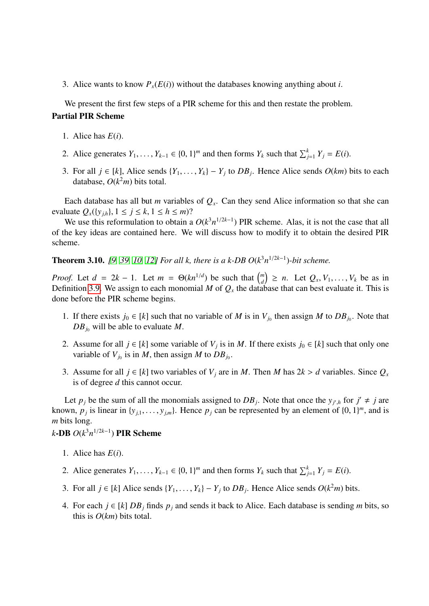3. Alice wants to know  $P_r(E(i))$  without the databases knowing anything about *i*.

We present the first few steps of a PIR scheme for this and then restate the problem. Partial PIR Scheme

- 1. Alice has *E*(*i*).
- 2. Alice generates  $Y_1, \ldots, Y_{k-1} \in \{0, 1\}^m$  and then forms  $Y_k$  such that  $\sum_{j=1}^k Y_j = E(i)$ .
- 3. For all *j* ∈ [*k*], Alice sends  $\{Y_1, \ldots, Y_k\} Y_j$  to  $DB_j$ . Hence Alice sends  $O(km)$  bits to each database  $O(km)$  bits total database,  $O(k^2m)$  bits total.

Each database has all but *m* variables of  $Q_x$ . Can they send Alice information so that she can evaluate  $Q_x({y_{j,h}}), 1 \le j \le k, 1 \le h \le m$ ?

We use this reformulation to obtain a  $O(k^3 n^{1/2k-1})$  PIR scheme. Alas, it is not the case that all of the key ideas are contained here. We will discuss how to modify it to obtain the desired PIR scheme.

## <span id="page-9-0"></span>**Theorem 3.10.** [\[9,](#page-27-7) [39,](#page-29-1) [10,](#page-27-4) [12\]](#page-28-3) For all k, there is a k-DB  $O(k^3 n^{1/2k-1})$ -bit scheme.

*Proof.* Let  $d = 2k - 1$ . Let  $m = \Theta(kn^{1/d})$  be such that  $\binom{m}{d}$  $\left(\begin{array}{c} m \\ d \end{array}\right) \geq n$ . Let  $Q_x, V_1, \ldots, V_k$  be as in Definition [3.9.](#page-8-0) We assign to each monomial *M* of  $Q_x$  the database that can best evaluate it. This is done before the PIR scheme begins.

- 1. If there exists  $j_0 \in [k]$  such that no variable of *M* is in  $V_{j_0}$  then assign *M* to  $DB_{j_0}$ . Note that  $DB_{i_0}$  will be able to evaluate *M*.
- 2. Assume for all  $j \in [k]$  some variable of  $V_j$  is in *M*. If there exists  $j_0 \in [k]$  such that only one variable of  $V_{j_0}$  is in *M*, then assign *M* to  $DB_{j_0}$ .
- 3. Assume for all  $j \in [k]$  two variables of  $V_j$  are in *M*. Then *M* has  $2k > d$  variables. Since  $Q_x$ is of degree *d* this cannot occur.

Let  $p_j$  be the sum of all the monomials assigned to  $DB_j$ . Note that once the  $y_{j',h}$  for  $j' \neq j$  are known,  $p_j$  is linear in  $\{y_{j,1}, \ldots, y_{j,m}\}$ . Hence  $p_j$  can be represented by an element of  $\{0, 1\}^m$ , and is *m* bits long *m* bits long.

*k*-DB *O*(*k* 3*n* <sup>1</sup>/2*k*−<sup>1</sup> ) PIR Scheme

- 1. Alice has *E*(*i*).
- 2. Alice generates  $Y_1, \ldots, Y_{k-1} \in \{0, 1\}^m$  and then forms  $Y_k$  such that  $\sum_{j=1}^k Y_j = E(i)$ .
- 3. For all *j* ∈ [*k*] Alice sends {*Y*<sub>1</sub>, . . . , *Y<sub>k</sub>*} − *Y<sub>j</sub>* to *DB<sub>j</sub>*. Hence Alice sends *O*(*k*<sup>2</sup>*m*) bits.
- 4. For each *j* ∈ [*k*] *DB*<sup>*j*</sup> finds  $p_j$  and sends it back to Alice. Each database is sending *m* bits, so this is *O*(*km*) bits total.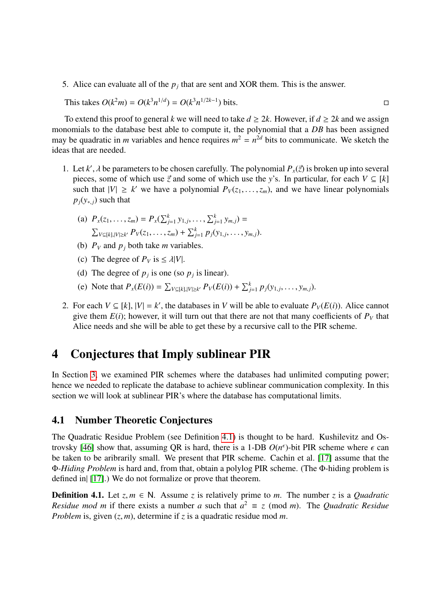5. Alice can evaluate all of the  $p_j$  that are sent and XOR them. This is the answer.

This takes 
$$
O(k^2m) = O(k^3n^{1/d}) = O(k^3n^{1/2k-1})
$$
 bits.

To extend this proof to general *k* we will need to take  $d \geq 2k$ . However, if  $d \geq 2k$  and we assign monomials to the database best able to compute it, the polynomial that a *DB* has been assigned may be quadratic in *m* variables and hence requires  $m^2 = n^{2d}$  bits to communicate. We sketch the ideas that are needed.

- 1. Let *k'*,  $\lambda$  be parameters to be chosen carefully. The polynomial  $P_x(\vec{z})$  is broken up into several pieces, some of which use  $\vec{z}$  and some of which use the v's. In particular, for each  $V \subset W$ pieces, some of which use  $\vec{z}$  and some of which use the *y*'s. In particular, for each  $V \subseteq [k]$ such that  $|V| \ge k'$  we have a polynomial  $P_V(z_1, \ldots, z_m)$ , and we have linear polynomials  $P_V(z_1, \ldots, z_m)$  $p_j(y_{k,j})$  such that
	- (a)  $P_x(z_1, \ldots, z_m) = P_x(\sum_{j=1}^k y_{1,j}, \ldots, \sum_{j=1}^k y_{m,j}) =$  $\sum_{V \subseteq [k], |V| \ge k'} P_V(z_1, \ldots, z_m) + \sum_{j=1}^k P_j(y_{1,j}, \ldots, y_{m,j}).$
	- (b)  $P_V$  and  $p_j$  both take *m* variables.
	- (c) The degree of  $P_V$  is  $\leq \lambda |V|$ .
	- (d) The degree of  $p_j$  is one (so  $p_j$  is linear).
	- (e) Note that  $P_x(E(i)) = \sum_{V \subseteq [k], |V| \ge k'} P_V(E(i)) + \sum_{j=1}^k p_j(y_{1,j}, \dots, y_{m,j}).$
- 2. For each  $V \subseteq [k]$ ,  $|V| = k'$ , the databases in *V* will be able to evaluate  $P_V(E(i))$ . Alice cannot give them  $E(i)$ ; however, it will turn out that there are not that many coefficients of  $P_V$  that Alice needs and she will be able to get these by a recursive call to the PIR scheme.

# <span id="page-10-1"></span>4 Conjectures that Imply sublinear PIR

In Section [3,](#page-3-1) we examined PIR schemes where the databases had unlimited computing power; hence we needed to replicate the database to achieve sublinear communication complexity. In this section we will look at sublinear PIR's where the database has computational limits.

### 4.1 Number Theoretic Conjectures

The Quadratic Residue Problem (see Definition [4.1\)](#page-10-0) is thought to be hard. Kushilevitz and Os-trovsky [\[46\]](#page-30-1) show that, assuming QR is hard, there is a 1-DB  $O(n^{\epsilon})$ -bit PIR scheme where  $\epsilon$  can<br>be taken to be aribrarily small. We present that PIR scheme. Cachin et al. [17] assume that the be taken to be aribrarily small. We present that PIR scheme. Cachin et al. [\[17\]](#page-28-5) assume that the Φ*-Hiding Problem* is hard and, from that, obtain a polylog PIR scheme. (The Φ-hiding problem is defined in| [\[17\]](#page-28-5).) We do not formalize or prove that theorem.

<span id="page-10-0"></span>**Definition 4.1.** Let  $z, m \in \mathbb{N}$ . Assume *z* is relatively prime to *m*. The number *z* is a *Quadratic Residue mod m* if there exists a number *a* such that  $a^2 \equiv z \pmod{m}$ . The *Quadratic Residue Problem* is, given (*z*, *<sup>m</sup>*), determine if *<sup>z</sup>* is a quadratic residue mod *<sup>m</sup>*.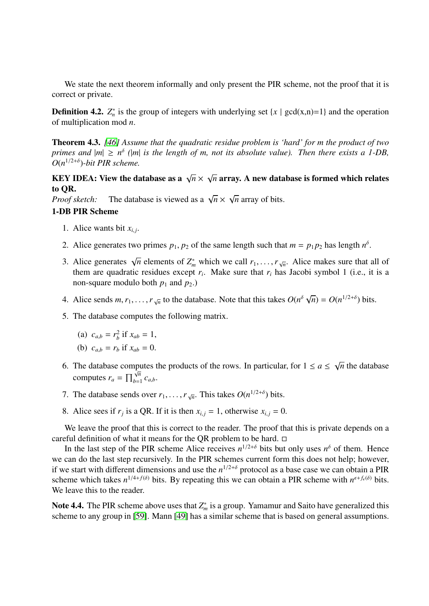We state the next theorem informally and only present the PIR scheme, not the proof that it is correct or private.

**Definition 4.2.**  $Z_n^*$  is the group of integers with underlying set  $\{x \mid \gcd(x,n)=1\}$  and the operation of multiplication mod *n*.

<span id="page-11-0"></span>Theorem 4.3. *[\[46\]](#page-30-1) Assume that the quadratic residue problem is 'hard' for m the product of two primes and*  $|m| \ge n^{\delta}$  ( $|m|$  *is the length of m, not its absolute value). Then there exists a 1-DB,*  $O(n^{1/2+\delta})$ -bit PIR scheme.

#### **KEY IDEA:** View the database as a  $\sqrt{n} \times$ √  $\overline{n}$  array. A new database is formed which relates to QR. √

*Proof sketch:* The database is viewed as a <sup>√</sup> *n* × *n* array of bits.

#### 1-DB PIR Scheme

- 1. Alice wants bit  $x_{i,j}$ .
- 2. Alice generates two primes  $p_1$ ,  $p_2$  of the same length such that  $m = p_1 p_2$  has length  $n^{\delta}$ .
- 3. Alice generates  $\sqrt{n}$  elements of  $Z_m^*$  which we call  $r_1, \ldots, r_{\sqrt{n}}$ . Alice makes sure that all of them are quadratic residues except *r*. Make sure that *r*, has Jacobi symbol 1 (i.e., it is a them are quadratic residues except  $r_i$ . Make sure that  $r_i$  has Jacobi symbol 1 (i.e., it is a non-square modulo both  $p_1$  and  $p_2$ .)
- 4. Alice sends  $m, r_1, \ldots, r_{\sqrt{n}}$  to the database. Note that this takes  $O(n^{\delta})$ √  $\overline{n}$ ) =  $O(n^{1/2+\delta})$  bits.
- 5. The database computes the following matrix.
	- (a)  $c_{a,b} = r_b^2$  if  $x_{ab} = 1$ ,
	- (b)  $c_{a,b} = r_b$  if  $x_{ab} = 0$ .
- 6. The database computes the products of the rows. In particular, for  $1 \le a \le$ √ *n* the database computes  $r_a = \prod_{b=1}^{\sqrt{n}}$  $\bigvee_{b=1}^{n} C_{a,b}$ .
- 7. The database sends over  $r_1, \ldots, r_{\sqrt{n}}$ . This takes  $O(n^{1/2+\delta})$  bits.
- 8. Alice sees if  $r_j$  is a QR. If it is then  $x_{i,j} = 1$ , otherwise  $x_{i,j} = 0$ .

We leave the proof that this is correct to the reader. The proof that this is private depends on a careful definition of what it means for the QR problem to be hard.  $\Box$ 

In the last step of the PIR scheme Alice receives  $n^{1/2+\delta}$  bits but only uses  $n^{\delta}$  of them. Hence we can do the last step recursively. In the PIR schemes current form this does not help; however, if we start with different dimensions and use the  $n^{1/2+\delta}$  protocol as a base case we can obtain a PIR scheme which takes  $n^{1/4+f(\delta)}$  bits. By repeating this we can obtain a PIR scheme with  $n^{\epsilon+f_{\epsilon}(\delta)}$  bits. We leave this to the reader.

Note 4.4. The PIR scheme above uses that  $Z_m^*$  is a group. Yamamur and Saito have generalized this scheme to any group in [\[59\]](#page-30-9). Mann [\[49\]](#page-30-10) has a similar scheme that is based on general assumptions.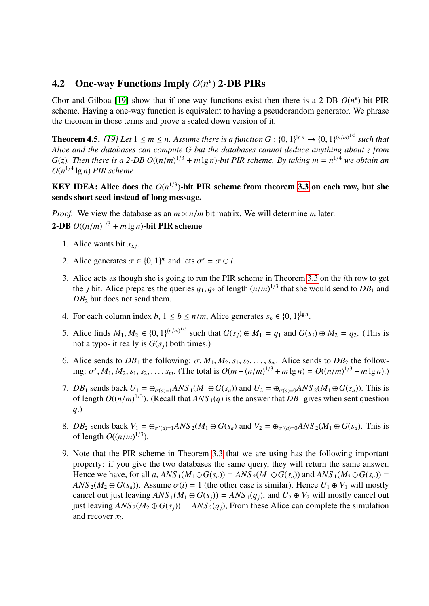# **4.2** One-way Functions Imply  $O(n^{\epsilon})$  2-DB PIRs

Chor and Gilboa [\[19\]](#page-28-4) show that if one-way functions exist then there is a 2-DB  $O(n^{\epsilon})$ -bit PIR scheme. Having a one-way function is equivalent to having a pseudorandom generator. We phrase the theorem in those terms and prove a scaled down version of it.

<span id="page-12-0"></span>**Theorem 4.5.** [\[19\]](#page-28-4) Let  $1 \le m \le n$ . Assume there is a function  $G : \{0,1\}^{\lg n} \to \{0,1\}^{(n/m)^{1/3}}$  such that  $\Delta$  *Alice and the databases can compute*  $G$  by the databases cannot deduce anything about z from *Alice and the databases can compute G but the databases cannot deduce anything about z from G*(*z*). Then there is a 2-DB  $O((n/m)^{1/3} + m \lg n)$ -bit PIR scheme. By taking  $m = n^{1/4}$  we obtain an  $O(n^{1/4} \lg n)$  PIR scheme.  $O(n^{1/4} \lg n)$  *PIR scheme.* 

### KEY IDEA: Alice does the  $O(n^{1/3})$ -bit PIR scheme from theorem [3.3](#page-4-0) on each row, but she sends short seed instead of long message.

*Proof.* We view the database as an  $m \times n/m$  bit matrix. We will determine *m* later.

# **2-DB**  $O((n/m)^{1/3} + m \lg n)$ -bit PIR scheme

- 1. Alice wants bit  $x_{i,j}$ .
- 2. Alice generates  $\sigma \in \{0, 1\}^m$  and lets  $\sigma' = \sigma \oplus i$ .
- 3. Alice acts as though she is going to run the PIR scheme in Theorem [3.3](#page-4-0) on the *i*th row to get the *j* bit. Alice prepares the queries  $q_1, q_2$  of length  $(n/m)^{1/3}$  that she would send to  $DB_1$  and  $DB_2$  but does not send them  $DB_2$  but does not send them.
- 4. For each column index *b*,  $1 \le b \le n/m$ , Alice generates  $s_b \in \{0, 1\}^{\lg n}$ .
- 5. Alice finds  $M_1, M_2 \in \{0, 1\}^{(n/m)^{1/3}}$  such that  $G(s_j) \oplus M_1 = q_1$  and  $G(s_j) \oplus M_2 = q_2$ . (This is not a typo- it really is  $G(s_i)$  both times) not a typo- it really is  $G(s_i)$  both times.)
- 6. Alice sends to  $DB_1$  the following:  $\sigma$ ,  $M_1$ ,  $M_2$ ,  $s_1$ ,  $s_2$ , ...,  $s_m$ . Alice sends to  $DB_2$  the following:  $\sigma', M_1, M_2, s_1, s_2, \ldots, s_m$ . (The total is  $O(m + (n/m)^{1/3} + m \lg n) = O((n/m)^{1/3} + m \lg n)$ .)
- 7. *DB*<sub>1</sub> sends back  $U_1 = \bigoplus_{\sigma(a)=1} ANS_1(M_1 \oplus G(s_a))$  and  $U_2 = \bigoplus_{\sigma(a)=0} ANS_2(M_1 \oplus G(s_a))$ . This is of length  $O((n/m)^{1/3})$ . (Recall that  $ANS_1(q)$  is the answer that  $DB_1$  gives when sent question  $a_1$ ) *q*.)
- 8. *DB*<sub>2</sub> sends back  $V_1 = \bigoplus_{\sigma'(a)=1} ANS_2(M_1 \oplus G(s_a))$  and  $V_2 = \bigoplus_{\sigma'(a)=0} ANS_2(M_1 \oplus G(s_a))$ . This is of length  $O((n/m)^{1/3})$ .
- 9. Note that the PIR scheme in Theorem [3.3](#page-4-0) that we are using has the following important property: if you give the two databases the same query, they will return the same answer. Hence we have, for all *a*,  $ANS_1(M_1 \oplus G(s_a)) = ANS_2(M_1 \oplus G(s_a))$  and  $ANS_1(M_2 \oplus G(s_a)) =$  $ANS_2(M_2 \oplus G(s_a))$ . Assume  $\sigma(i) = 1$  (the other case is similar). Hence  $U_1 \oplus V_1$  will mostly cancel out just leaving  $ANS_1(M_1 \oplus G(s_i)) = ANS_1(q_i)$ , and  $U_2 \oplus V_2$  will mostly cancel out just leaving  $ANS_2(M_2 \oplus G(s_i)) = ANS_2(q_i)$ , From these Alice can complete the simulation and recover *x<sup>i</sup>* .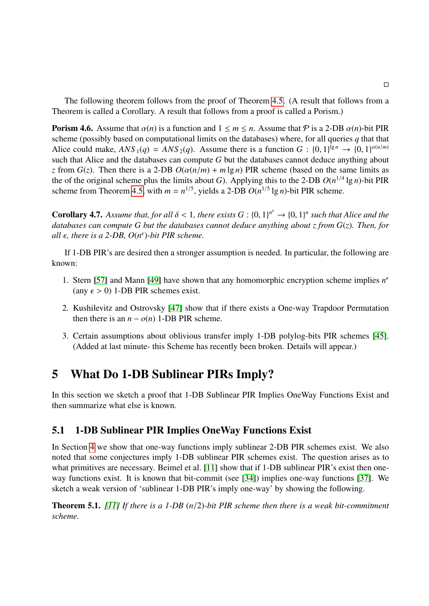The following theorem follows from the proof of Theorem [4.5.](#page-12-0) (A result that follows from a Theorem is called a Corollary. A result that follows from a proof is called a Porism.)

**Porism 4.6.** Assume that  $\alpha(n)$  is a function and  $1 \leq m \leq n$ . Assume that P is a 2-DB  $\alpha(n)$ -bit PIR scheme (possibly based on computational limits on the databases) where, for all queries *q* that that Alice could make,  $ANS_1(q) = ANS_2(q)$ . Assume there is a function  $G: \{0, 1\}^{\lg n} \to \{0, 1\}^{\alpha(n/m)}$ <br>such that Alice and the databases can compute *G* but the databases cannot deduce anything about such that Alice and the databases can compute *G* but the databases cannot deduce anything about *z* from  $G(z)$ . Then there is a 2-DB  $O(\alpha(n/m) + m \lg n)$  PIR scheme (based on the same limits as the of the original scheme plus the limits about *G*). Applying this to the 2-DB  $O(n^{1/4} \lg n)$ -bit PIR scheme from Theorem [4.5,](#page-12-0) with  $m = n^{1/5}$ , yields a 2-DB  $O(n^{1/5} \lg n)$ -bit PIR scheme.

**Corollary 4.7.** Assume that, for all  $\delta < 1$ , there exists  $G : \{0, 1\}^n \to \{0, 1\}^n$  such that Alice and the databases cannot deduce anything about z from  $G(z)$ . Then for *databases can compute G but the databases cannot deduce anything about z from G*(*z*)*. Then, for* all  $\epsilon$ , there is a 2-DB,  $O(n^{\epsilon})$ -bit PIR scheme.

If 1-DB PIR's are desired then a stronger assumption is needed. In particular, the following are known:

- 1. Stern [\[57\]](#page-30-11) and Mann [\[49\]](#page-30-10) have shown that any homomorphic encryption scheme implies  $n<sup>6</sup>$ (any  $\epsilon$  > 0) 1-DB PIR schemes exist.
- 2. Kushilevitz and Ostrovsky [\[47\]](#page-30-2) show that if there exists a One-way Trapdoor Permutation then there is an  $n - o(n)$  1-DB PIR scheme.
- 3. Certain assumptions about oblivious transfer imply 1-DB polylog-bits PIR schemes [\[45\]](#page-30-12). (Added at last minute- this Scheme has recently been broken. Details will appear.)

## 5 What Do 1-DB Sublinear PIRs Imply?

In this section we sketch a proof that 1-DB Sublinear PIR Implies OneWay Functions Exist and then summarize what else is known.

### 5.1 1-DB Sublinear PIR Implies OneWay Functions Exist

In Section [4](#page-10-1) we show that one-way functions imply sublinear 2-DB PIR schemes exist. We also noted that some conjectures imply 1-DB sublinear PIR schemes exist. The question arises as to what primitives are necessary. Beimel et al. [\[11\]](#page-28-6) show that if 1-DB sublinear PIR's exist then oneway functions exist. It is known that bit-commit (see [\[34\]](#page-29-6)) implies one-way functions [\[37\]](#page-29-7). We sketch a weak version of 'sublinear 1-DB PIR's imply one-way' by showing the following.

<span id="page-13-0"></span>Theorem 5.1. *[\[11\]](#page-28-6) If there is a 1-DB* (*n*/2)*-bit PIR scheme then there is a weak bit-commitment scheme.*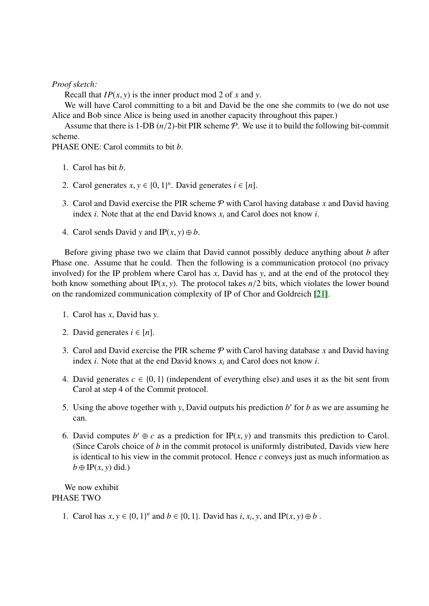*Proof sketch:*

Recall that *IP*(*x*, *<sup>y</sup>*) is the inner product mod 2 of *<sup>x</sup>* and *<sup>y</sup>*.

We will have Carol committing to a bit and David be the one she commits to (we do not use Alice and Bob since Alice is being used in another capacity throughout this paper.)

Assume that there is 1-DB  $(n/2)$ -bit PIR scheme  $P$ . We use it to build the following bit-commit scheme.

PHASE ONE: Carol commits to bit *b*.

- 1. Carol has bit *b*.
- 2. Carol generates  $x, y \in \{0, 1\}^n$ . David generates  $i \in [n]$ .
- 3. Carol and David exercise the PIR scheme  $P$  with Carol having database x and David having index *i*. Note that at the end David knows *x<sup>i</sup>* and Carol does not know *i*.
- 4. Carol sends David *y* and  $IP(x, y) \oplus b$ .

Before giving phase two we claim that David cannot possibly deduce anything about *b* after Phase one. Assume that he could. Then the following is a communication protocol (no privacy involved) for the IP problem where Carol has *x*, David has *y*, and at the end of the protocol they both know something about IP $(x, y)$ . The protocol takes  $n/2$  bits, which violates the lower bound on the randomized communication complexity of IP of Chor and Goldreich [\[21\]](#page-28-10).

- 1. Carol has *x*, David has *y*.
- 2. David generates  $i \in [n]$ .
- 3. Carol and David exercise the PIR scheme  $P$  with Carol having database x and David having index *i*. Note that at the end David knows *x<sup>i</sup>* and Carol does not know *i*.
- 4. David generates  $c \in \{0, 1\}$  (independent of everything else) and uses it as the bit sent from Carol at step 4 of the Commit protocol.
- 5. Using the above together with  $y$ , David outputs his prediction  $b'$  for  $b$  as we are assuming he can.
- 6. David computes  $b' \oplus c$  as a prediction for IP(*x*, *y*) and transmits this prediction to Carol.<br>(Since Carols choice of *h* in the commit protocol is uniformly distributed. Davids view here (Since Carols choice of *b* in the commit protocol is uniformly distributed, Davids view here is identical to his view in the commit protocol. Hence *c* conveys just as much information as  $b \oplus IP(x, y)$  did.)

We now exhibit PHASE TWO

1. Carol has *x*, *y* ∈ {0, 1}<sup>*n*</sup> and *b* ∈ {0, 1}. David has *i*, *x<sub>i</sub>*, *y*, and IP(*x*, *y*) ⊕ *b* .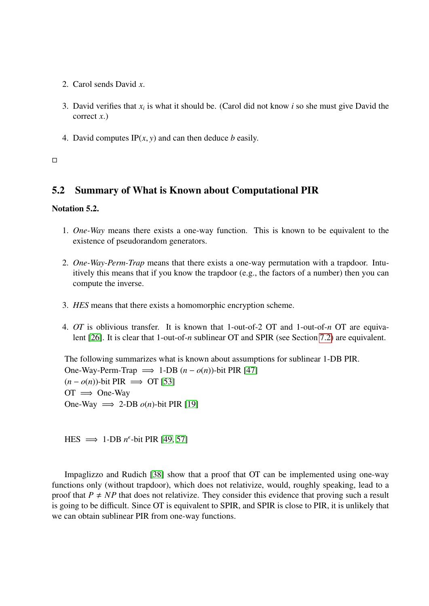- 2. Carol sends David *x*.
- 3. David verifies that  $x_i$  is what it should be. (Carol did not know  $i$  so she must give David the correct *x*.)
- 4. David computes  $IP(x, y)$  and can then deduce *b* easily.

#### $\Box$

## 5.2 Summary of What is Known about Computational PIR

#### Notation 5.2.

- 1. *One-Way* means there exists a one-way function. This is known to be equivalent to the existence of pseudorandom generators.
- 2. *One-Way-Perm-Trap* means that there exists a one-way permutation with a trapdoor. Intuitively this means that if you know the trapdoor (e.g., the factors of a number) then you can compute the inverse.
- 3. *HES* means that there exists a homomorphic encryption scheme.
- 4. *OT* is oblivious transfer. It is known that 1-out-of-2 OT and 1-out-of-*n* OT are equivalent [\[26\]](#page-29-8). It is clear that 1-out-of-*n* sublinear OT and SPIR (see Section [7.2\)](#page-19-0) are equivalent.

The following summarizes what is known about assumptions for sublinear 1-DB PIR. One-Way-Perm-Trap  $\implies$  1-DB  $(n - o(n))$ -bit PIR [\[47\]](#page-30-2)  $(n - o(n))$ -bit PIR  $\implies$  OT [\[53\]](#page-30-3)  $OT \implies$  One-Way One-Way  $\implies$  2-DB  $o(n)$ -bit PIR [\[19\]](#page-28-4)

 $\text{HES} \implies 1-\text{DB } n^{\epsilon}$ -bit PIR [\[49,](#page-30-10) [57\]](#page-30-11)

Impaglizzo and Rudich [\[38\]](#page-29-9) show that a proof that OT can be implemented using one-way functions only (without trapdoor), which does not relativize, would, roughly speaking, lead to a proof that  $P \neq NP$  that does not relativize. They consider this evidence that proving such a result is going to be difficult. Since OT is equivalent to SPIR, and SPIR is close to PIR, it is unlikely that we can obtain sublinear PIR from one-way functions.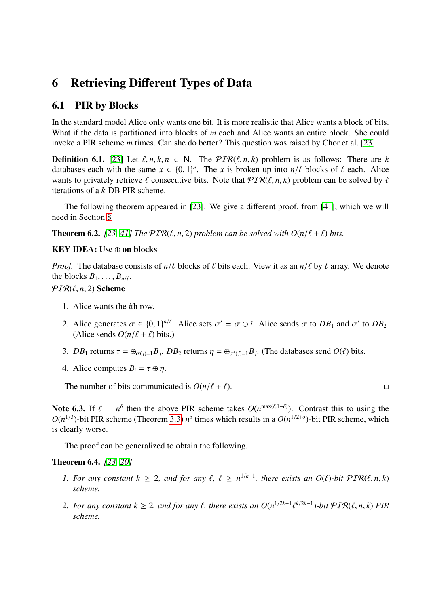# 6 Retrieving Different Types of Data

### 6.1 PIR by Blocks

In the standard model Alice only wants one bit. It is more realistic that Alice wants a block of bits. What if the data is partitioned into blocks of *m* each and Alice wants an entire block. She could invoke a PIR scheme *m* times. Can she do better? This question was raised by Chor et al. [\[23\]](#page-28-1).

**Definition 6.1.** [\[23\]](#page-28-1) Let  $\ell, n, k, n \in \mathbb{N}$ . The  $PIR(\ell, n, k)$  problem is as follows: There are *k* databases each with the same  $x \in \{0, 1\}^n$ . The *x* is broken up into *n*/ $\ell$  blocks of  $\ell$  each. Alice<br>wants to privately retrieve  $\ell$  consecutive hits. Note that  $\mathcal{PTR}(\ell, n, k)$  problem can be solved by  $\ell$ wants to privately retrieve  $\ell$  consecutive bits. Note that  $PIR(\ell, n, k)$  problem can be solved by  $\ell$ iterations of a *k*-DB PIR scheme.

The following theorem appeared in [\[23\]](#page-28-1). We give a different proof, from [\[41\]](#page-29-10), which we will need in Section [8](#page-23-0)

<span id="page-16-0"></span>**Theorem 6.2.** [\[23,](#page-28-1) [41\]](#page-29-10) The  $PIR(\ell, n, 2)$  problem can be solved with  $O(n/\ell + \ell)$  bits.

#### KEY IDEA: Use ⊕ on blocks

*Proof.* The database consists of  $n/\ell$  blocks of  $\ell$  bits each. View it as an  $n/\ell$  by  $\ell$  array. We denote the blocks  $B_1, \ldots, B_{n/\ell}$ .

## $PIR(\ell, n, 2)$  Scheme

- 1. Alice wants the *i*th row.
- 2. Alice generates  $\sigma \in \{0, 1\}^{n/\ell}$ . Alice sets  $\sigma' = \sigma \oplus i$ . Alice sends  $\sigma$  to  $DB_1$  and  $\sigma'$  to  $DB_2$ .<br>(Alice sends  $O(n/\ell + \ell)$  bits) (Alice sends  $O(n/\ell + \ell)$  bits.)
- 3. *DB*<sub>1</sub> returns  $\tau = \bigoplus_{\sigma(j)=1} B_j$ . *DB*<sub>2</sub> returns  $\eta = \bigoplus_{\sigma'(j)=1} B_j$ . (The databases send *O(* $\ell$ ) bits.
- 4. Alice computes  $B_i = \tau \oplus \eta$ .

The number of bits communicated is  $O(n/\ell + \ell)$ .

Note 6.3. If  $\ell = n^{\delta}$  then the above PIR scheme takes  $O(n^{\max{\{\delta, 1-\delta\}}})$ . Contrast this to using the  $O(n^{1/3})$ -bit PIR scheme (Theorem 3.3)  $n^{\delta}$  times which results in a  $O(n^{1/2+\delta})$ -bit PIR scheme which  $O(n^{1/3})$ -bit PIR scheme (Theorem [3.3\)](#page-4-0)  $n^{\delta}$  times which results in a  $O(n^{1/2+\delta})$ -bit PIR scheme, which is clearly worse.

The proof can be generalized to obtain the following.

#### Theorem 6.4. *[\[23,](#page-28-1) [20\]](#page-28-11)*

- *1. For any constant*  $k \geq 2$ *, and for any*  $\ell$ ,  $\ell \geq n^{1/k-1}$ *, there exists an O*( $\ell$ )*-bit*  $PIR(\ell, n, k)$  scheme *scheme.*
- *2. For any constant*  $k \geq 2$ *, and for any*  $\ell$ *, there exists an O*( $n^{1/2k-1}$ *k*/2*k*−1)*-bit*  $\mathcal{PIR}(\ell, n, k)$  *PIR scheme.*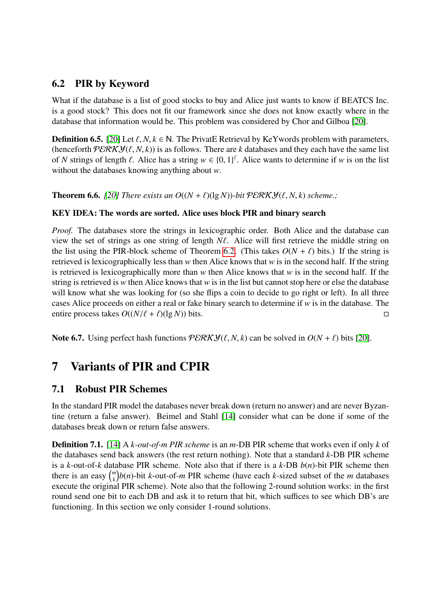## <span id="page-17-0"></span>6.2 PIR by Keyword

What if the database is a list of good stocks to buy and Alice just wants to know if BEATCS Inc. is a good stock? This does not fit our framework since she does not know exactly where in the database that information would be. This problem was considered by Chor and Gilboa [\[20\]](#page-28-11).

**Definition 6.5.** [\[20\]](#page-28-11) Let  $\ell, N, k \in \mathbb{N}$ . The PrivatE Retrieval by KeYwords problem with parameters, (henceforth  $\mathcal{PERKY}(\ell, N, k)$ ) is as follows. There are *k* databases and they each have the same list of *N* strings of length  $\ell$ . Alice has a string  $w \in \{0, 1\}^{\ell}$ . Alice wants to determine if *w* is on the list<br>without the databases knowing apything about *w* without the databases knowing anything about *w*.

**Theorem 6.6.** [\[20\]](#page-28-11) There exists an  $O((N + \ell)(\lg N))$ -bit  $\mathcal{P}\mathcal{ERKY}(\ell, N, k)$  scheme.;

### KEY IDEA: The words are sorted. Alice uses block PIR and binary search

*Proof.* The databases store the strings in lexicographic order. Both Alice and the database can view the set of strings as one string of length  $N\ell$ . Alice will first retrieve the middle string on the list using the PIR-block scheme of Theorem [6.2.](#page-16-0) (This takes  $O(N + \ell)$  bits.) If the string is retrieved is lexicographically less than *w* then Alice knows that *w* is in the second half. If the string is retrieved is lexicographically more than *w* then Alice knows that *w* is in the second half. If the string is retrieved is *w* then Alice knows that *w* is in the list but cannot stop here or else the database will know what she was looking for (so she flips a coin to decide to go right or left). In all three cases Alice proceeds on either a real or fake binary search to determine if *w* is in the database. The entire process takes  $O((N/\ell + \ell)(\lg N))$  bits.

Note 6.7. Using perfect hash functions  $\mathcal{PERKY}(\ell, N, k)$  can be solved in  $O(N + \ell)$  bits [\[20\]](#page-28-11).

# 7 Variants of PIR and CPIR

## 7.1 Robust PIR Schemes

In the standard PIR model the databases never break down (return no answer) and are never Byzantine (return a false answer). Beimel and Stahl [\[14\]](#page-28-12) consider what can be done if some of the databases break down or return false answers.

Definition 7.1. [\[14\]](#page-28-12) A *k-out-of-m PIR scheme* is an *m*-DB PIR scheme that works even if only *k* of the databases send back answers (the rest return nothing). Note that a standard *k*-DB PIR scheme is a *k*-out-of-*k* database PIR scheme. Note also that if there is a *k*-DB *b*(*n*)-bit PIR scheme then there is an easy  $\binom{m}{k}$  $\binom{m}{k}$ *b*(*n*)-bit *k*-out-of-*m* PIR scheme (have each *k*-sized subset of the *m* databases execute the original PIR scheme). Note also that the following 2-round solution works: in the first round send one bit to each DB and ask it to return that bit, which suffices to see which DB's are functioning. In this section we only consider 1-round solutions.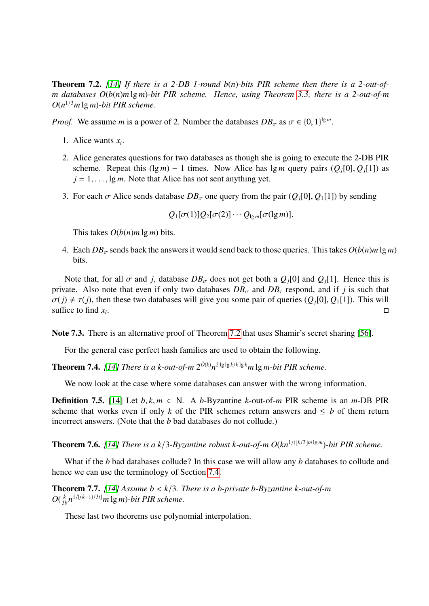<span id="page-18-0"></span>Theorem 7.2. *[\[14\]](#page-28-12) If there is a 2-DB 1-round b*(*n*)*-bits PIR scheme then there is a 2-out-ofm databases O*(*b*(*n*)*m* lg *m*)*-bit PIR scheme. Hence, using Theorem [3.3,](#page-4-0) there is a 2-out-of-m O*(*n* <sup>1</sup>/<sup>3</sup>*m* lg *m*)*-bit PIR scheme.*

*Proof.* We assume *m* is a power of 2. Number the databases  $DB_{\sigma}$  as  $\sigma \in \{0, 1\}^{\lg m}$ .

- 1. Alice wants  $x_i$ .
- 2. Alice generates questions for two databases as though she is going to execute the 2-DB PIR scheme. Repeat this  $(\lg m) - 1$  times. Now Alice has  $\lg m$  query pairs  $(Q_i[0], Q_i[1])$  as  $j = 1, \ldots, \lg m$ . Note that Alice has not sent anything yet.
- 3. For each  $\sigma$  Alice sends database  $DB_{\sigma}$  one query from the pair  $(Q_i[0], Q_i[1])$  by sending

$$
Q_1[\sigma(1)]Q_2[\sigma(2)]\cdots Q_{\lg m}[\sigma(\lg m)].
$$

This takes  $O(b(n)m \lg m)$  bits.

4. Each  $DB_\sigma$  sends back the answers it would send back to those queries. This takes  $O(b(n)m \lg m)$ bits.

Note that, for all  $\sigma$  and *j*, database  $DB_{\sigma}$  does not get both a  $Q_i[0]$  and  $Q_i[1]$ . Hence this is private. Also note that even if only two databases  $DB_{\sigma}$  and  $DB_{\tau}$  respond, and if *j* is such that  $\sigma(j) \neq \tau(j)$ , then these two databases will give you some pair of queries  $(Q_j[0], Q_1[1])$ . This will suffice to find x. suffice to find  $x_i$ . . В последните пример, на селото на селото на селото на селото на селото на селото на селото на селото на село<br>Селото на селото на селото на селото на селото на селото на селото на селото на селото на селото на селото на

Note 7.3. There is an alternative proof of Theorem [7.2](#page-18-0) that uses Shamir's secret sharing [\[56\]](#page-30-13).

For the general case perfect hash families are used to obtain the following.

**Theorem 7.4.** [\[14\]](#page-28-12) There is a k-out-of-m  $2^{\tilde{O}(k)}n^{2\lg\lg k/k\lg k}m\lg m$ -bit PIR scheme.

We now look at the case where some databases can answer with the wrong information.

**Definition 7.5.** [\[14\]](#page-28-12) Let  $b, k, m \in \mathbb{N}$ . A *b*-Byzantine *k*-out-of-*m* PIR scheme is an *m*-DB PIR scheme that works even if only *k* of the PIR schemes return answers and  $\leq b$  of them return incorrect answers. (Note that the *b* bad databases do not collude.)

**Theorem 7.6.** [\[14\]](#page-28-12) There is a  $k/3$ -Byzantine robust k-out-of-m  $O(kn^{1/(\lfloor k/3 \rfloor m \lg m})$ -bit PIR scheme.

What if the *b* bad databases collude? In this case we will allow any *b* databases to collude and hence we can use the terminology of Section [7.4.](#page-21-0)

Theorem 7.7. *[\[14\]](#page-28-12) Assume b* < *<sup>k</sup>*/3*. There is a b-private b-Byzantine k-out-of-m*  $O(\frac{k}{3})$  $\frac{k}{3b}n^{1/(k-1)/3t}$ *m* lg *m*)-*bit PIR scheme.* 

These last two theorems use polynomial interpolation.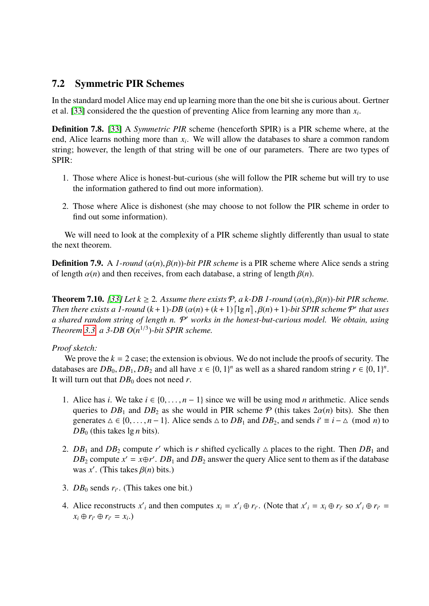## <span id="page-19-0"></span>7.2 Symmetric PIR Schemes

In the standard model Alice may end up learning more than the one bit she is curious about. Gertner et al. [\[33\]](#page-29-11) considered the the question of preventing Alice from learning any more than *x<sup>i</sup>* .

Definition 7.8. [\[33\]](#page-29-11) A *Symmetric PIR* scheme (henceforth SPIR) is a PIR scheme where, at the end, Alice learns nothing more than *x<sup>i</sup>* . We will allow the databases to share a common random string; however, the length of that string will be one of our parameters. There are two types of SPIR:

- 1. Those where Alice is honest-but-curious (she will follow the PIR scheme but will try to use the information gathered to find out more information).
- 2. Those where Alice is dishonest (she may choose to not follow the PIR scheme in order to find out some information).

We will need to look at the complexity of a PIR scheme slightly differently than usual to state the next theorem.

**Definition 7.9.** A *1-round* ( $\alpha(n)$ ,  $\beta(n)$ )*-bit PIR scheme* is a PIR scheme where Alice sends a string of length  $\alpha(n)$  and then receives, from each database, a string of length  $\beta(n)$ .

**Theorem 7.10.** *[\[33\]](#page-29-11)* Let  $k \geq 2$ . Assume there exists  $\mathcal{P}$ , a k-DB 1-round  $(\alpha(n), \beta(n))$ -bit PIR scheme. *Then there exists a 1-round*  $(k + 1)$ -*DB*  $(\alpha(n) + (k + 1) \lceil \lg n \rceil, \beta(n) + 1)$ -bit SPIR scheme  $P'$  that uses<br>*a shared random string of length n*,  $P'$  works in the honest-but-curious model. We obtain using a shared random string of length n.  $P'$  works in the honest-but-curious model. We obtain, using *Theorem* [3.3,](#page-4-0) *a* 3-DB  $O(n^{1/3})$ -bit SPIR scheme.

#### *Proof sketch:*

We prove the  $k = 2$  case; the extension is obvious. We do not include the proofs of security. The databases are  $DB_0$ ,  $DB_1$ ,  $DB_2$  and all have  $x \in \{0, 1\}^n$  as well as a shared random string  $r \in \{0, 1\}^n$ .<br>It will turn out that  $DB_0$  does not need r It will turn out that  $DB_0$  does not need *r*.

- 1. Alice has *i*. We take  $i \in \{0, \ldots, n-1\}$  since we will be using mod *n* arithmetic. Alice sends queries to  $DB_1$  and  $DB_2$  as she would in PIR scheme  $P$  (this takes  $2\alpha(n)$  bits). She then generates  $\Delta \in \{0, ..., n-1\}$ . Alice sends  $\Delta$  to  $DB_1$  and  $DB_2$ , and sends  $i' \equiv i - \Delta \pmod{n}$  to  $DB_2$  (this takes la *n* bits)  $DB<sub>0</sub>$  (this takes  $\lg n$  bits).
- 2.  $DB_1$  and  $DB_2$  compute *r'* which is *r* shifted cyclically  $\triangle$  places to the right. Then  $DB_1$  and *DB*<sub>2</sub> compute  $x' = x \oplus r'$ . *DB*<sub>1</sub> and *DB*<sub>2</sub> answer the query Alice sent to them as if the database was *x'*. (This takes  $\beta(n)$  bits.)
- 3.  $DB_0$  sends  $r_{i'}$ . (This takes one bit.)
- 4. Alice reconstructs  $x'_i$  and then computes  $x_i = x'_i \oplus r_{i'}$ . (Note that  $x'_i = x_i \oplus r_{i'}$  so  $x'_i \oplus r_{i'} =$  $x_i \oplus r_{i'} \oplus r_{i'} = x_{i}$ .)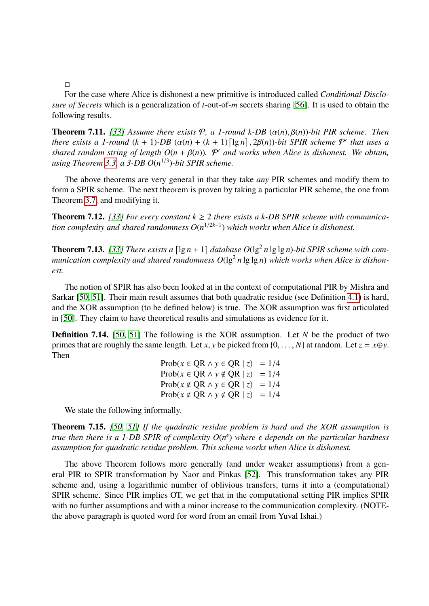$\Box$ 

For the case where Alice is dishonest a new primitive is introduced called *Conditional Disclosure of Secrets* which is a generalization of *t*-out-of-*m* secrets sharing [\[56\]](#page-30-13). It is used to obtain the following results.

**Theorem 7.11.** [\[33\]](#page-29-11) Assume there exists  $P$ , a 1-round k-DB  $(\alpha(n), \beta(n))$ -bit PIR scheme. Then *there exists a 1-round*  $(k + 1)$ *-DB*  $(\alpha(n) + (k + 1) \lceil \lg n \rceil, 2\beta(n))$ *-bit SPIR scheme*  $\mathcal{P}'$  *that uses a shared random string of length*  $O(n + \beta(n))$   $\mathcal{P}'$  *and works when Alice is dishanest. We obtain shared random string of length*  $O(n + \beta(n))$ *. P' and works when Alice is dishonest. We obtain,*<br>using Theorem 3.3, a 3-DB  $O(n^{1/3})$ -bit SPIR scheme *using Theorem [3.3,](#page-4-0) a 3-DB O*(*n* 1/3 )*-bit SPIR scheme.*

The above theorems are very general in that they take *any* PIR schemes and modify them to form a SPIR scheme. The next theorem is proven by taking a particular PIR scheme, the one from Theorem [3.7,](#page-6-0) and modifying it.

**Theorem 7.12.** [\[33\]](#page-29-11) For every constant  $k \ge 2$  there exists a k-DB SPIR scheme with communica*tion complexity and shared randomness O*(*n* <sup>1</sup>/2*k*−<sup>1</sup> ) *which works when Alice is dishonest.*

**Theorem 7.13.** [\[33\]](#page-29-11) There exists a  $\lceil \lg n + 1 \rceil$  database  $O(\lg^2 n \lg \lg n)$ -bit SPIR scheme with communication complexity and shared randomness  $O(\lg^2 n \lg \lg n)$  which works when Alice is dishon*est.*

The notion of SPIR has also been looked at in the context of computational PIR by Mishra and Sarkar [\[50,](#page-30-14) [51\]](#page-30-15). Their main result assumes that both quadratic residue (see Definition [4.1\)](#page-10-0) is hard, and the XOR assumption (to be defined below) is true. The XOR assumption was first articulated in [\[50\]](#page-30-14). They claim to have theoretical results and simulations as evidence for it.

Definition 7.14. [\[50,](#page-30-14) [51\]](#page-30-15) The following is the XOR assumption. Let *N* be the product of two primes that are roughly the same length. Let *x*, *y* be picked from  $\{0, \ldots, N\}$  at random. Let  $z = x \oplus y$ . Then

$$
\text{Prob}(x \in \text{QR} \land y \in \text{QR} \mid z) = 1/4
$$
\n
$$
\text{Prob}(x \in \text{QR} \land y \notin \text{QR} \mid z) = 1/4
$$
\n
$$
\text{Prob}(x \notin \text{QR} \land y \in \text{QR} \mid z) = 1/4
$$
\n
$$
\text{Prob}(x \notin \text{QR} \land y \notin \text{QR} \mid z) = 1/4
$$

We state the following informally.

Theorem 7.15. *[\[50,](#page-30-14) [51\]](#page-30-15) If the quadratic residue problem is hard and the XOR assumption is true then there is a 1-DB SPIR of complexity*  $O(n^{\epsilon})$  *where*  $\epsilon$  *depends on the particular hardness* assumption for quadratic residue problem. This scheme works when Alice is dishonest *assumption for quadratic residue problem. This scheme works when Alice is dishonest.*

The above Theorem follows more generally (and under weaker assumptions) from a general PIR to SPIR transformation by Naor and Pinkas [\[52\]](#page-30-16). This transformation takes any PIR scheme and, using a logarithmic number of oblivious transfers, turns it into a (computational) SPIR scheme. Since PIR implies OT, we get that in the computational setting PIR implies SPIR with no further assumptions and with a minor increase to the communication complexity. (NOTEthe above paragraph is quoted word for word from an email from Yuval Ishai.)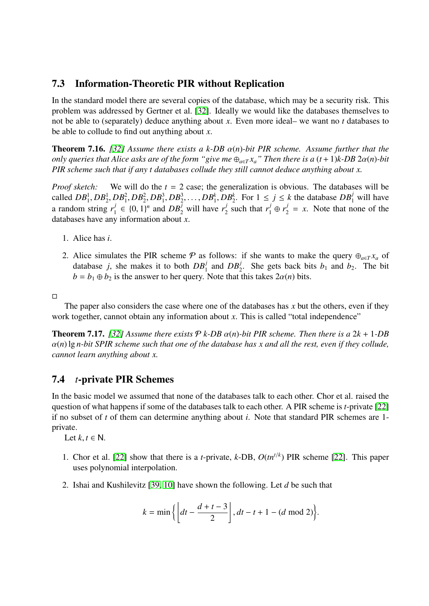## 7.3 Information-Theoretic PIR without Replication

In the standard model there are several copies of the database, which may be a security risk. This problem was addressed by Gertner et al. [\[32\]](#page-29-12). Ideally we would like the databases themselves to not be able to (separately) deduce anything about *x*. Even more ideal– we want no *t* databases to be able to collude to find out anything about *x*.

Theorem 7.16. *[\[32\]](#page-29-12) Assume there exists a k-DB* α(*n*)*-bit PIR scheme. Assume further that the only queries that Alice asks are of the form "give me*  $\bigoplus_{a \in T} x_a$ " *Then there is a*  $(t + 1)k$ *-DB*  $2\alpha(n)$ *-bit PIR scheme such that if any t databases collude they still cannot deduce anything about x.*

*Proof sketch:* We will do the *t* = 2 case; the generalization is obvious. The databases will be called  $DB_1^1, DB_2^1, DB_1^2, DB_2^2, DB_1^3, DB_2^3, \ldots, DB_1^k, DB_2^k$ . For  $1 \le j \le k$  the database  $DB_1^j$  will have a random string  $r_1^j$  $\mu_1^j$  ∈ {0, 1}<sup>*n*</sup> and *DB*<sup>*j*</sup></sup> will have *r*<sup>*j*</sup></sup> *y* information about *r*  $\frac{1}{2}$  such that  $r_1^j \oplus r_2^j = x$ . Note that none of the databases have any information about *x*.

- 1. Alice has *i*.
- 2. Alice simulates the PIR scheme  $\varphi$  as follows: if she wants to make the query  $\oplus_{a \in T} x_a$  of database *j*, she makes it to both  $DB_1^j$  and  $DB_2^j$ . She gets back bits  $b_1$  and  $b_2$ . The bit  $b = b_1 \oplus b_2$  is the answer to her query. Note that this takes  $2\alpha(n)$  bits.
- $\Box$

The paper also considers the case where one of the databases has *x* but the others, even if they work together, cannot obtain any information about *x*. This is called "total independence"

**Theorem 7.17.** [\[32\]](#page-29-12) Assume there exists  $P$  *k-DB*  $\alpha$ (*n*)*-bit PIR scheme. Then there is a* 2*k* + 1*-DB* α(*n*) lg *n-bit SPIR scheme such that one of the database has x and all the rest, even if they collude, cannot learn anything about x.*

## <span id="page-21-0"></span>7.4 *t*-private PIR Schemes

In the basic model we assumed that none of the databases talk to each other. Chor et al. raised the question of what happens if some of the databases talk to each other. A PIR scheme is *t*-private [\[22\]](#page-28-2) if no subset of *t* of them can determine anything about *i*. Note that standard PIR schemes are 1 private.

Let  $k, t \in \mathbb{N}$ .

- 1. Chor et al. [\[22\]](#page-28-2) show that there is a *t*-private, *k*-DB, *O*(*tn<sup>t</sup>*/*<sup>k</sup>* ) PIR scheme [\[22\]](#page-28-2). This paper uses polynomial interpolation.
- 2. Ishai and Kushilevitz [\[39,](#page-29-1) [10\]](#page-27-4) have shown the following. Let *d* be such that

$$
k = \min\left\{ \left\lfloor dt - \frac{d+t-3}{2} \right\rfloor, dt - t + 1 - (d \mod 2) \right\}.
$$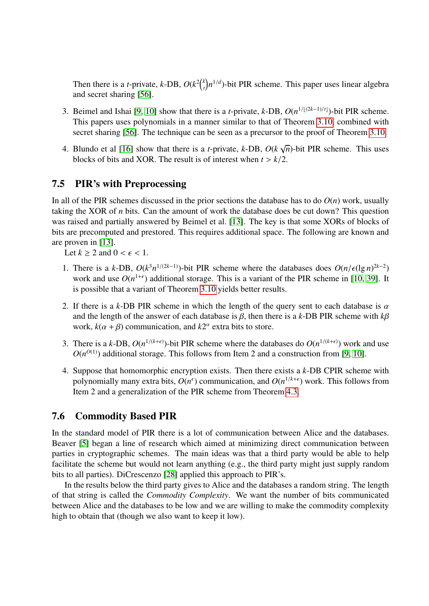Then there is a *t*-private, *k*-DB,  $O(k^2)$  $\binom{k}{t}$  $n^{1/d}$ )-bit PIR scheme. This paper uses linear algebra and secret sharing [\[56\]](#page-30-13).

- 3. Beimel and Ishai [\[9,](#page-27-7) [10\]](#page-27-4) show that there is a *t*-private, *k*-DB,  $O(n^{1/[(2k-1)/t]})$ -bit PIR scheme. This papers uses polynomials in a manner similar to that of Theorem [3.10,](#page-9-0) combined with secret sharing [\[56\]](#page-30-13). The technique can be seen as a precursor to the proof of Theorem [3.10.](#page-9-0)
- 4. Blundo et al [\[16\]](#page-28-13) show that there is a *t*-private, *k*-DB, *O*(*k* √ *n*)-bit PIR scheme. This uses blocks of bits and XOR. The result is of interest when  $t > k/2$ .

## 7.5 PIR's with Preprocessing

In all of the PIR schemes discussed in the prior sections the database has to do  $O(n)$  work, usually taking the XOR of *n* bits. Can the amount of work the database does be cut down? This question was raised and partially answered by Beimel et al. [\[13\]](#page-28-14). The key is that some XORs of blocks of bits are precomputed and prestored. This requires additional space. The following are known and are proven in [\[13\]](#page-28-14).

Let  $k \geq 2$  and  $0 < \epsilon < 1$ .

- 1. There is a *k*-DB,  $O(k^3 n^{1/(2k-1)})$ -bit PIR scheme where the databases does  $O(n/\epsilon (\lg n)^{2k-2})$ <br>work and use  $O(n^{1+\epsilon})$  additional storage. This is a variant of the PIR scheme in [10, 39]. It work and use  $O(n^{1+\epsilon})$  additional storage. This is a variant of the PIR scheme in [\[10,](#page-27-4) [39\]](#page-29-1). It is possible that a variant of Theorem [3.10](#page-9-0) yields better results.
- 2. If there is a *k*-DB PIR scheme in which the length of the query sent to each database is  $\alpha$ and the length of the answer of each database is  $\beta$ , then there is a  $k$ -DB PIR scheme with  $k\beta$ work,  $k(\alpha + \beta)$  communication, and  $k2^{\alpha}$  extra bits to store.
- 3. There is a *k*-DB,  $O(n^{1/(k+\epsilon)})$ -bit PIR scheme where the databases do  $O(n^{1/(k+\epsilon)})$  work and use  $O(n^{O(1)})$  additional storage. This follows from Item 2 and a construction from [\[9,](#page-27-7) [10\]](#page-27-4).
- 4. Suppose that homomorphic encryption exists. Then there exists a *k*-DB CPIR scheme with polynomially many extra bits,  $O(n^{\epsilon})$  communication, and  $O(n^{1/k+\epsilon})$  work. This follows from Item 2 and a generalization of the PIR scheme from Theorem [4.3.](#page-11-0)

## 7.6 Commodity Based PIR

In the standard model of PIR there is a lot of communication between Alice and the databases. Beaver [\[5\]](#page-27-8) began a line of research which aimed at minimizing direct communication between parties in cryptographic schemes. The main ideas was that a third party would be able to help facilitate the scheme but would not learn anything (e.g., the third party might just supply random bits to all parties). DiCrescenzo [\[28\]](#page-29-13) applied this approach to PIR's.

In the results below the third party gives to Alice and the databases a random string. The length of that string is called the *Commodity Complexity*. We want the number of bits communicated between Alice and the databases to be low and we are willing to make the commodity complexity high to obtain that (though we also want to keep it low).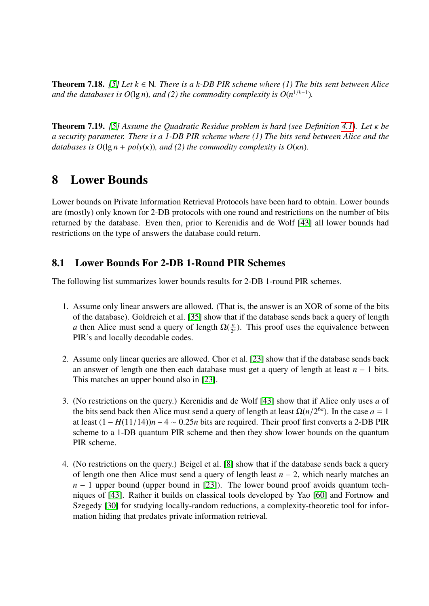Theorem 7.18. *[\[5\]](#page-27-8) Let k* ∈ N*. There is a k-DB PIR scheme where (1) The bits sent between Alice and the databases is O*(lg *n*)*, and* (2) the commodity complexity is  $O(n^{1/k-1})$ .

Theorem 7.19. *[\[5\]](#page-27-8) Assume the Quadratic Residue problem is hard (see Definition [4.1\)](#page-10-0). Let* κ *be a security parameter. There is a 1-DB PIR scheme where (1) The bits send between Alice and the databases is*  $O(\lg n + \text{poly}(\kappa))$ *, and (2) the commodity complexity is*  $O(\kappa n)$ *.* 

# <span id="page-23-0"></span>8 Lower Bounds

Lower bounds on Private Information Retrieval Protocols have been hard to obtain. Lower bounds are (mostly) only known for 2-DB protocols with one round and restrictions on the number of bits returned by the database. Even then, prior to Kerenidis and de Wolf [\[43\]](#page-30-6) all lower bounds had restrictions on the type of answers the database could return.

## 8.1 Lower Bounds For 2-DB 1-Round PIR Schemes

The following list summarizes lower bounds results for 2-DB 1-round PIR schemes.

- 1. Assume only linear answers are allowed. (That is, the answer is an XOR of some of the bits of the database). Goldreich et al. [\[35\]](#page-29-14) show that if the database sends back a query of length *a* then Alice must send a query of length  $\Omega(\frac{n}{2})$  $\frac{n}{2^a}$ ). This proof uses the equivalence between PIR's and locally decodable codes.
- 2. Assume only linear queries are allowed. Chor et al. [\[23\]](#page-28-1) show that if the database sends back an answer of length one then each database must get a query of length at least *n* − 1 bits. This matches an upper bound also in [\[23\]](#page-28-1).
- 3. (No restrictions on the query.) Kerenidis and de Wolf [\[43\]](#page-30-6) show that if Alice only uses *a* of the bits send back then Alice must send a query of length at least  $\Omega(n/2^{6a})$ . In the case  $a = 1$ <br>at least  $(1 - H(11/14))n - 4 \approx 0.25n$  bits are required. Their proof first converts a 2-DB PIR at least (1 <sup>−</sup> *<sup>H</sup>*(11/14))*<sup>n</sup>* <sup>−</sup> <sup>4</sup> <sup>∼</sup> <sup>0</sup>.25*<sup>n</sup>* bits are required. Their proof first converts a 2-DB PIR scheme to a 1-DB quantum PIR scheme and then they show lower bounds on the quantum PIR scheme.
- 4. (No restrictions on the query.) Beigel et al. [\[8\]](#page-27-9) show that if the database sends back a query of length one then Alice must send a query of length least *n* − 2, which nearly matches an *n* − 1 upper bound (upper bound in [\[23\]](#page-28-1)). The lower bound proof avoids quantum techniques of [\[43\]](#page-30-6). Rather it builds on classical tools developed by Yao [\[60\]](#page-30-17) and Fortnow and Szegedy [\[30\]](#page-29-15) for studying locally-random reductions, a complexity-theoretic tool for information hiding that predates private information retrieval.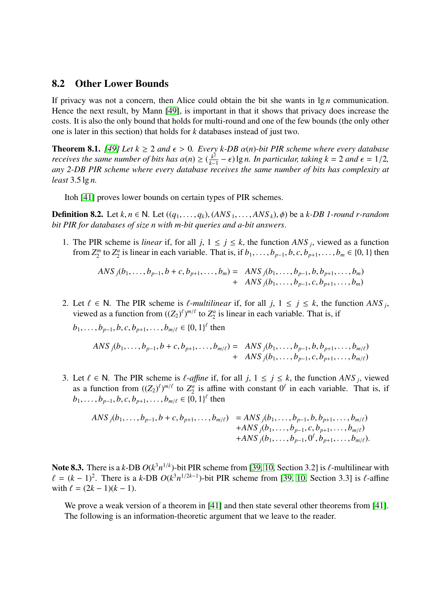### 8.2 Other Lower Bounds

If privacy was not a concern, then Alice could obtain the bit she wants in lg *n* communication. Hence the next result, by Mann [\[49\]](#page-30-10), is important in that it shows that privacy does increase the costs. It is also the only bound that holds for multi-round and one of the few bounds (the only other one is later in this section) that holds for *k* databases instead of just two.

**Theorem 8.1.** [\[49\]](#page-30-10) Let  $k \ge 2$  and  $\epsilon > 0$ . Every k-DB  $\alpha(n)$ -bit PIR scheme where every database *receives the same number of bits has*  $\alpha(n) \geq (\frac{k^2}{k-1})^2$ <br>any 2-DB PIR scheme where every database re- $\frac{k^2}{k-1} - \epsilon$ ) lg *n. In particular, taking*  $k = 2$  *and*  $\epsilon = 1/2$ *,* receives the same number of hits has complexity at *any 2-DB PIR scheme where every database receives the same number of bits has complexity at least* <sup>3</sup>.5 lg *n.*

Itoh [\[41\]](#page-29-10) proves lower bounds on certain types of PIR schemes.

**Definition 8.2.** Let  $k, n \in \mathbb{N}$ . Let  $((q_1, \ldots, q_k), (ANS_1, \ldots, ANS_k), \phi)$  be a  $k$ -DB 1-round r-random *bit PIR for databases of size n with m-bit queries and a-bit answers*.

1. The PIR scheme is *linear* if, for all  $j$ ,  $1 \le j \le k$ , the function *ANS*  $_j$ , viewed as a function from  $Z_2^m$  $\binom{m}{2}$  to  $\mathbb{Z}_2^a$  $b_2$  is linear in each variable. That is, if  $b_1, \ldots, b_{p-1}, b, c, b_{p+1}, \ldots, b_m \in \{0, 1\}$  then

$$
ANS_j(b_1,...,b_{p-1},b+c,b_{p+1},...,b_m) = ANS_j(b_1,...,b_{p-1},b,b_{p+1},...,b_m) + ANS_j(b_1,...,b_{p-1},c,b_{p+1},...,b_m)
$$

2. Let  $\ell \in \mathbb{N}$ . The PIR scheme is  $\ell$ -*multilinear* if, for all *j*,  $1 \le j \le k$ , the function *ANS j*, viewed as a function from  $((Z_2)^{\ell})^{m/\ell}$  to  $Z^a$  is linear in each variable. That is if viewed as a function from  $((Z_2)^{\ell})^{m/\ell}$  to  $Z_2^a$  $\frac{a}{2}$  is linear in each variable. That is, if

 $b_1, \ldots, b_{p-1}, b, c, b_{p+1}, \ldots, b_{m/\ell} \in \{0, 1\}^{\ell}$  then

$$
ANS_j(b_1,...,b_{p-1},b+c,b_{p+1},...,b_{m/\ell}) = ANS_j(b_1,...,b_{p-1},b,b_{p+1},...,b_{m/\ell}) + ANS_j(b_1,...,b_{p-1},c,b_{p+1},...,b_{m/\ell})
$$

3. Let  $\ell$  ∈ N. The PIR scheme is  $\ell$ -*affine* if, for all *j*,  $1 \le j \le k$ , the function *ANS j*, viewed as a function from  $((Z_2)^{\ell}n)^{n/\ell}$  to  $Z^a$  is affine with constant  $0^{\ell}$  in each variable. That is if as a function from  $((Z_2)^{\ell})^{m/\ell}$  to  $Z_2^a$  $\frac{a}{2}$  is affine with constant  $0^{\ell}$  in each variable. That is, if  $b_1, \ldots, b_{p-1}, b, c, b_{p+1}, \ldots, b_{m/\ell} \in \{0, 1\}^{\ell}$  then

$$
ANS_{j}(b_{1},...,b_{p-1},b+c,b_{p+1},...,b_{m/\ell}) = ANS_{j}(b_{1},...,b_{p-1},b,b_{p+1},...,b_{m/\ell}) + ANS_{j}(b_{1},...,b_{p-1},c,b_{p+1},...,b_{m/\ell}) + ANS_{j}(b_{1},...,b_{p-1},0^{\ell},b_{p+1},...,b_{m/\ell}).
$$

Note 8.3. There is a *k*-DB  $O(k^3 n^{1/k})$ -bit PIR scheme from [\[39,](#page-29-1) [10,](#page-27-4) Section 3.2] is  $\ell$ -multilinear with  $\ell = (k-1)^2$ . There is a  $k$ -DB  $O(k^3 n^{1/2k-1})$ -bit PIR scheme from [39, 10, Section 3.31 is  $\ell$ -affine  $\ell = (k-1)^2$ . There is a *k*-DB  $O(k^3 n^{1/2k-1})$ -bit PIR scheme from [\[39,](#page-29-1) [10,](#page-27-4) Section 3.3] is  $\ell$ -affine with  $\ell = (2k-1)(k-1)$ with  $\ell = (2k - 1)(k - 1)$ .

We prove a weak version of a theorem in [\[41\]](#page-29-10) and then state several other theorems from [41]. The following is an information-theoretic argument that we leave to the reader.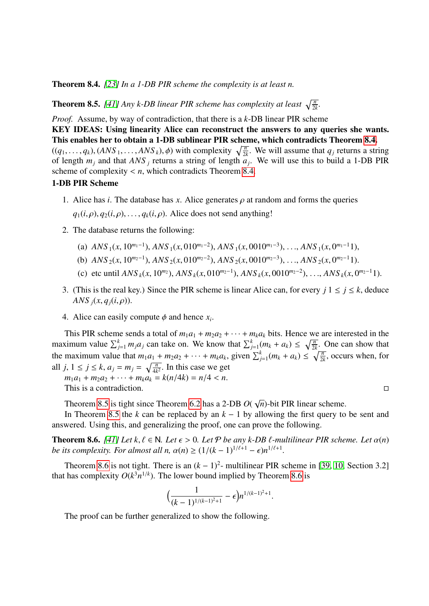<span id="page-25-0"></span>Theorem 8.4. *[\[23\]](#page-28-1) In a 1-DB PIR scheme the complexity is at least n.*

<span id="page-25-1"></span>**Theorem 8.5.** [\[41\]](#page-29-10) Any k-DB linear PIR scheme has complexity at least  $\sqrt{\frac{n}{2k}}$ .

*Proof.* Assume, by way of contradiction, that there is a *k*-DB linear PIR scheme

KEY IDEAS: Using linearity Alice can reconstruct the answers to any queries she wants. This enables her to obtain a 1-DB sublinear PIR scheme, which contradicts Theorem [8.4.](#page-25-0)

 $((q_1, \ldots, q_k), (ANS_1, \ldots, ANS_k), \phi)$  with complexity  $\sqrt{\frac{n}{2k}}$ . We will assume that  $q_j$  returns a string of length  $q_k$ . We will use this to build a 1-DB PIR of length *m<sup>j</sup>* and that *ANS <sup>j</sup>* returns a string of length *a<sup>j</sup>* . We will use this to build a 1-DB PIR scheme of complexity  $\lt n$ , which contradicts Theorem [8.4.](#page-25-0)

#### 1-DB PIR Scheme

1. Alice has *i*. The database has *x*. Alice generates  $\rho$  at random and forms the queries

 $q_1(i, \rho), q_2(i, \rho), \ldots, q_k(i, \rho)$ . Alice does not send anything!

- 2. The database returns the following:
	- (a)  $ANS_1(x, 10^{m_1-1})$ ,  $ANS_1(x, 010^{m_1-2})$ ,  $ANS_1(x, 0010^{m_1-3})$ , ...,  $ANS_1(x, 0^{m_1-1}1)$ ,
	- (b)  $ANS_2(x, 10^{m_2-1})$ ,  $ANS_2(x, 010^{m_2-2})$ ,  $ANS_2(x, 0010^{m_2-3})$ , ...,  $ANS_2(x, 0^{m_2-1}1)$ .
	- (c) etc until  $ANS_k(x, 10^{m_2})$ ,  $ANS_k(x, 010^{m_2-1})$ ,  $ANS_k(x, 0010^{m_2-2})$ , ...,  $ANS_k(x, 0^{m_2-1}1)$ .
- 3. (This is the real key.) Since the PIR scheme is linear Alice can, for every  $j \mid 1 \leq j \leq k$ , deduce *ANS*  $_i(x, q_i(i, \rho))$ .
- 4. Alice can easily compute  $\phi$  and hence  $x_i$ .

This PIR scheme sends a total of  $m_1a_1 + m_2a_2 + \cdots + m_ka_k$  bits. Hence we are interested in the maximum value  $\sum_{j=1}^{k} m_j a_j$  can take on. We know that  $\sum_{j=1}^{k} (m_k + a_k) \le \sqrt{\frac{n}{2k}}$ . One can show that the maximum value that  $m_1a_1 + m_2a_2 + \cdots + m_ka_k$ , given  $\sum_{j=1}^k (m_k + a_k) \leq \sqrt{\frac{n}{2k}}$ , occurs when, for all *j*,  $1 \le j \le k$ ,  $a_j = m_j = \sqrt{\frac{n}{4k^2}}$ . In this case we get

 $m_1a_1 + m_2a_2 + \cdots + m_ka_k = k(n/4k) = n/4 < n$ . This is a contradiction.

Theorem [8.5](#page-25-1) is tight since Theorem [6.2](#page-16-0) has a 2-DB *O*( √ *n*)-bit PIR linear scheme.

In Theorem [8.5](#page-25-1) the *k* can be replaced by an  $k - 1$  by allowing the first query to be sent and answered. Using this, and generalizing the proof, one can prove the following.

<span id="page-25-2"></span>**Theorem 8.6.** *[\[41\]](#page-29-10)* Let  $k, \ell \in \mathbb{N}$ . Let  $\epsilon > 0$ . Let  $\mathcal{P}$  be any k-DB  $\ell$ -multilinear PIR scheme. Let  $\alpha(n)$ *be its complexity. For almost all n,*  $\alpha(n) \geq (1/(k-1)^{1/\ell+1} - \epsilon)n^{1/\ell+1}$ .

Theorem [8.6](#page-25-2) is not tight. There is an  $(k-1)^2$ - multilinear PIR scheme in [\[39,](#page-29-1) [10,](#page-27-4) Section 3.2] that has complexity  $O(k^3 n^{1/k})$ . The lower bound implied by Theorem [8.6](#page-25-2) is

$$
\Big(\frac{1}{(k-1)^{1/(k-1)^2+1}}-\epsilon\Big)n^{1/(k-1)^2+1}.
$$

The proof can be further generalized to show the following.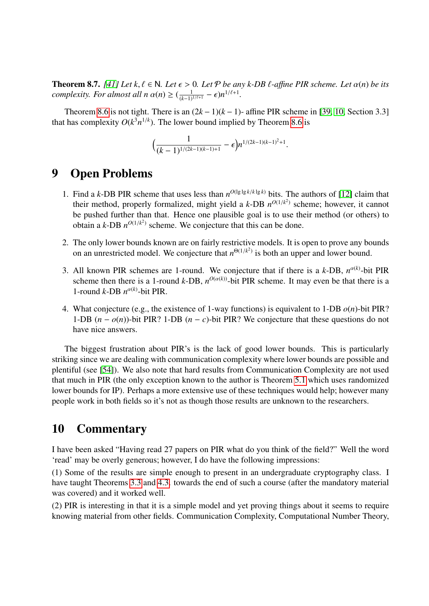**Theorem 8.7.** *[\[41\]](#page-29-10) Let*  $k, \ell \in \mathbb{N}$ *. Let*  $\epsilon > 0$ *. Let*  $\mathcal{P}$  *be any k-DB*  $\ell$ *-affine PIR scheme. Let*  $\alpha(n)$  *be its complexity. For almost all n*  $\alpha(n) \geq (\frac{1}{(k-1)^{1/\ell+1}} - \epsilon)n^{1/\ell+1}$ .

Theorem [8.6](#page-25-2) is not tight. There is an  $(2k-1)(k-1)$ - affine PIR scheme in [\[39,](#page-29-1) [10,](#page-27-4) Section 3.3] that has complexity  $O(k^3 n^{1/k})$ . The lower bound implied by Theorem [8.6](#page-25-2) is

$$
\Big(\frac{1}{(k-1)^{1/(2k-1)(k-1)+1}}-\epsilon\Big)n^{1/(2k-1)(k-1)^2+1}.
$$

# 9 Open Problems

- 1. Find a *k*-DB PIR scheme that uses less than  $n^{O(\lg \lg k / k \lg k)}$  bits. The authors of [\[12\]](#page-28-3) claim that their method, properly formalized, might yield a  $k$ -DB  $n^{O(1/k^2)}$  scheme; however, it cannot be pushed further than that. Hence one plausible goal is to use their method (or others) to obtain a *k*-DB  $n^{O(1/k^2)}$  scheme. We conjecture that this can be done.
- 2. The only lower bounds known are on fairly restrictive models. It is open to prove any bounds on an unrestricted model. We conjecture that  $n^{\Theta(1/k^2)}$  is both an upper and lower bound.
- 3. All known PIR schemes are 1-round. We conjecture that if there is a  $k$ -DB,  $n^{\alpha(k)}$ -bit PIR scheme then there is a 1-round *k*-DB,  $n^{O(\alpha(k))}$ -bit PIR scheme. It may even be that there is a 1-round *k*-DB  $n^{\alpha(k)}$ -bit PIR.
- 4. What conjecture (e.g., the existence of 1-way functions) is equivalent to 1-DB *o*(*n*)-bit PIR? 1-DB  $(n - o(n))$ -bit PIR? 1-DB  $(n - c)$ -bit PIR? We conjecture that these questions do not have nice answers.

The biggest frustration about PIR's is the lack of good lower bounds. This is particularly striking since we are dealing with communication complexity where lower bounds are possible and plentiful (see [\[54\]](#page-30-18)). We also note that hard results from Communication Complexity are not used that much in PIR (the only exception known to the author is Theorem [5.1](#page-13-0) which uses randomized lower bounds for IP). Perhaps a more extensive use of these techniques would help; however many people work in both fields so it's not as though those results are unknown to the researchers.

# 10 Commentary

I have been asked "Having read 27 papers on PIR what do you think of the field?" Well the word 'read' may be overly generous; however, I do have the following impressions:

(1) Some of the results are simple enough to present in an undergraduate cryptography class. I have taught Theorems [3.3](#page-4-0) and [4.3.](#page-11-0) towards the end of such a course (after the mandatory material was covered) and it worked well.

(2) PIR is interesting in that it is a simple model and yet proving things about it seems to require knowing material from other fields. Communication Complexity, Computational Number Theory,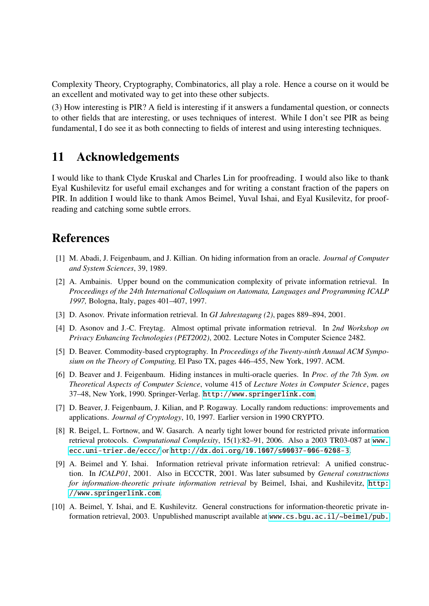Complexity Theory, Cryptography, Combinatorics, all play a role. Hence a course on it would be an excellent and motivated way to get into these other subjects.

(3) How interesting is PIR? A field is interesting if it answers a fundamental question, or connects to other fields that are interesting, or uses techniques of interest. While I don't see PIR as being fundamental, I do see it as both connecting to fields of interest and using interesting techniques.

# 11 Acknowledgements

I would like to thank Clyde Kruskal and Charles Lin for proofreading. I would also like to thank Eyal Kushilevitz for useful email exchanges and for writing a constant fraction of the papers on PIR. In addition I would like to thank Amos Beimel, Yuval Ishai, and Eyal Kusilevitz, for proofreading and catching some subtle errors.

# References

- <span id="page-27-0"></span>[1] M. Abadi, J. Feigenbaum, and J. Killian. On hiding information from an oracle. *Journal of Computer and System Sciences*, 39, 1989.
- <span id="page-27-3"></span>[2] A. Ambainis. Upper bound on the communication complexity of private information retrieval. In *Proceedings of the 24th International Colloquium on Automata, Languages and Programming ICALP 1997,* Bologna, Italy, pages 401–407, 1997.
- <span id="page-27-5"></span>[3] D. Asonov. Private information retrieval. In *GI Jahrestagung (2)*, pages 889–894, 2001.
- <span id="page-27-6"></span>[4] D. Asonov and J.-C. Freytag. Almost optimal private information retrieval. In *2nd Workshop on Privacy Enhancing Technologies (PET2002)*, 2002. Lecture Notes in Computer Science 2482.
- <span id="page-27-8"></span>[5] D. Beaver. Commodity-based cryptography. In *Proceedings of the Twenty-ninth Annual ACM Symposium on the Theory of Computing,* El Paso TX, pages 446–455, New York, 1997. ACM.
- <span id="page-27-2"></span>[6] D. Beaver and J. Feigenbaum. Hiding instances in multi-oracle queries. In *Proc. of the 7th Sym. on Theoretical Aspects of Computer Science*, volume 415 of *Lecture Notes in Computer Science*, pages 37–48, New York, 1990. Springer-Verlag. <http://www.springerlink.com>.
- <span id="page-27-1"></span>[7] D. Beaver, J. Feigenbaum, J. Kilian, and P. Rogaway. Locally random reductions: improvements and applications. *Journal of Cryptology*, 10, 1997. Earlier version in 1990 CRYPTO.
- <span id="page-27-9"></span>[8] R. Beigel, L. Fortnow, and W. Gasarch. A nearly tight lower bound for restricted private information retrieval protocols. *Computational Complexity*, 15(1):82–91, 2006. Also a 2003 TR03-087 at [www.](www.ecc.uni-trier.de/eccc/) [ecc.uni-trier.de/eccc/](www.ecc.uni-trier.de/eccc/) or <http://dx.doi.org/10.1007/s00037-006-0208-3>.
- <span id="page-27-7"></span>[9] A. Beimel and Y. Ishai. Information retrieval private information retrieval: A unified construction. In *ICALP01*, 2001. Also in ECCCTR, 2001. Was later subsumed by *General constructions for information-theoretic private information retrieval* by Beimel, Ishai, and Kushilevitz, [http:](http://www.springerlink.com) [//www.springerlink.com](http://www.springerlink.com).
- <span id="page-27-4"></span>[10] A. Beimel, Y. Ishai, and E. Kushilevitz. General constructions for information-theoretic private information retrieval, 2003. Unpublished manuscript available at [www.cs.bgu.ac.il/~beimel/pub.](www.cs.bgu.ac.il/~beimel/pub.html)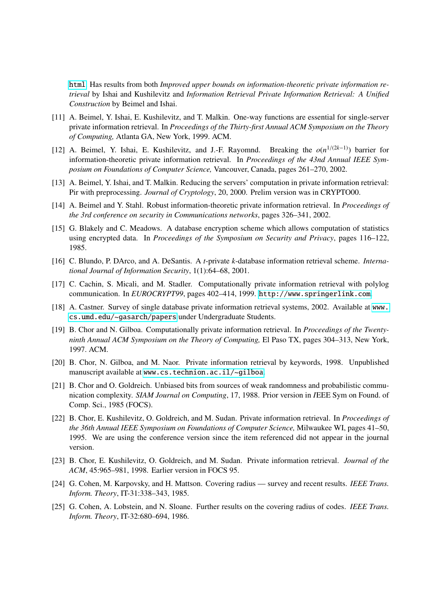[html](www.cs.bgu.ac.il/~beimel/pub.html). Has results from both *Improved upper bounds on information-theoretic private information retrieval* by Ishai and Kushilevitz and *Information Retrieval Private Information Retrieval: A Unified Construction* by Beimel and Ishai.

- <span id="page-28-6"></span>[11] A. Beimel, Y. Ishai, E. Kushilevitz, and T. Malkin. One-way functions are essential for single-server private information retrieval. In *Proceedings of the Thirty-first Annual ACM Symposium on the Theory of Computing,* Atlanta GA, New York, 1999. ACM.
- <span id="page-28-3"></span>[12] A. Beimel, Y. Ishai, E. Kushilevitz, and J.-F. Rayomnd. Breaking the *o*(*n* <sup>1</sup>/(2*k*−1)) barrier for information-theoretic private information retrieval. In *Proceedings of the 43nd Annual IEEE Symposium on Foundations of Computer Science,* Vancouver, Canada, pages 261–270, 2002.
- <span id="page-28-14"></span>[13] A. Beimel, Y. Ishai, and T. Malkin. Reducing the servers' computation in private information retrieval: Pir with preprocessing. *Journal of Cryptology*, 20, 2000. Prelim version was in CRYPTO00.
- <span id="page-28-12"></span>[14] A. Beimel and Y. Stahl. Robust information-theoretic private information retrieval. In *Proceedings of the 3rd conference on security in Communications networks*, pages 326–341, 2002.
- <span id="page-28-0"></span>[15] G. Blakely and C. Meadows. A database encryption scheme which allows computation of statistics using encrypted data. In *Proceedings of the Symposium on Security and Privacy*, pages 116–122, 1985.
- <span id="page-28-13"></span>[16] C. Blundo, P. DArco, and A. DeSantis. A *t*-private *k*-database information retrieval scheme. *International Journal of Information Security*, 1(1):64–68, 2001.
- <span id="page-28-5"></span>[17] C. Cachin, S. Micali, and M. Stadler. Computationally private information retrieval with polylog communication. In *EUROCRYPT99*, pages 402–414, 1999. <http://www.springerlink.com>.
- <span id="page-28-7"></span>[18] A. Castner. Survey of single database private information retrieval systems, 2002. Available at [www.](www.cs.umd.edu/~gasarch/papers) [cs.umd.edu/~gasarch/papers](www.cs.umd.edu/~gasarch/papers) under Undergraduate Students.
- <span id="page-28-4"></span>[19] B. Chor and N. Gilboa. Computationally private information retrieval. In *Proceedings of the Twentyninth Annual ACM Symposium on the Theory of Computing,* El Paso TX, pages 304–313, New York, 1997. ACM.
- <span id="page-28-11"></span>[20] B. Chor, N. Gilboa, and M. Naor. Private information retrieval by keywords, 1998. Unpublished manuscript available at <www.cs.technion.ac.il/~gilboa>.
- <span id="page-28-10"></span>[21] B. Chor and O. Goldreich. Unbiased bits from sources of weak randomness and probabilistic communication complexity. *SIAM Journal on Computing*, 17, 1988. Prior version in *I*EEE Sym on Found. of Comp. Sci., 1985 (FOCS).
- <span id="page-28-2"></span>[22] B. Chor, E. Kushilevitz, O. Goldreich, and M. Sudan. Private information retrieval. In *Proceedings of the 36th Annual IEEE Symposium on Foundations of Computer Science,* Milwaukee WI, pages 41–50, 1995. We are using the conference version since the item referenced did not appear in the journal version.
- <span id="page-28-1"></span>[23] B. Chor, E. Kushilevitz, O. Goldreich, and M. Sudan. Private information retrieval. *Journal of the ACM*, 45:965–981, 1998. Earlier version in FOCS 95.
- <span id="page-28-8"></span>[24] G. Cohen, M. Karpovsky, and H. Mattson. Covering radius — survey and recent results. *IEEE Trans. Inform. Theory*, IT-31:338–343, 1985.
- <span id="page-28-9"></span>[25] G. Cohen, A. Lobstein, and N. Sloane. Further results on the covering radius of codes. *IEEE Trans. Inform. Theory*, IT-32:680–694, 1986.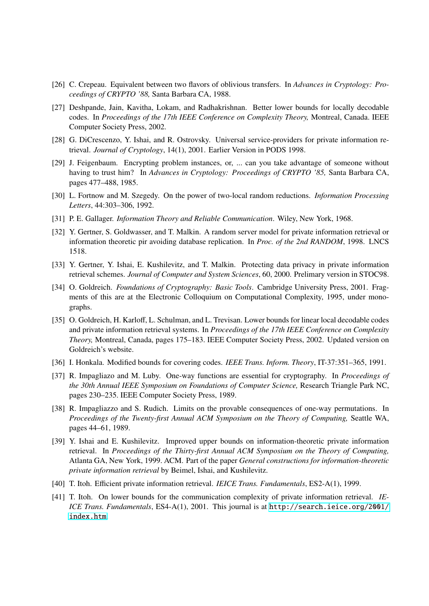- <span id="page-29-8"></span>[26] C. Crepeau. Equivalent between two flavors of oblivious transfers. In *Advances in Cryptology: Proceedings of CRYPTO '88,* Santa Barbara CA, 1988.
- <span id="page-29-2"></span>[27] Deshpande, Jain, Kavitha, Lokam, and Radhakrishnan. Better lower bounds for locally decodable codes. In *Proceedings of the 17th IEEE Conference on Complexity Theory,* Montreal, Canada. IEEE Computer Society Press, 2002.
- <span id="page-29-13"></span>[28] G. DiCrescenzo, Y. Ishai, and R. Ostrovsky. Universal service-providers for private information retrieval. *Journal of Cryptology*, 14(1), 2001. Earlier Version in PODS 1998.
- <span id="page-29-0"></span>[29] J. Feigenbaum. Encrypting problem instances, or, ... can you take advantage of someone without having to trust him? In *Advances in Cryptology: Proceedings of CRYPTO '85,* Santa Barbara CA, pages 477–488, 1985.
- <span id="page-29-15"></span>[30] L. Fortnow and M. Szegedy. On the power of two-local random reductions. *Information Processing Letters*, 44:303–306, 1992.
- <span id="page-29-5"></span>[31] P. E. Gallager. *Information Theory and Reliable Communication*. Wiley, New York, 1968.
- <span id="page-29-12"></span>[32] Y. Gertner, S. Goldwasser, and T. Malkin. A random server model for private information retrieval or information theoretic pir avoiding database replication. In *Proc. of the 2nd RANDOM*, 1998. LNCS 1518.
- <span id="page-29-11"></span>[33] Y. Gertner, Y. Ishai, E. Kushilevitz, and T. Malkin. Protecting data privacy in private information retrieval schemes. *Journal of Computer and System Sciences*, 60, 2000. Prelimary version in STOC98.
- <span id="page-29-6"></span>[34] O. Goldreich. *Foundations of Cryptography: Basic Tools*. Cambridge University Press, 2001. Fragments of this are at the Electronic Colloquium on Computational Complexity, 1995, under monographs.
- <span id="page-29-14"></span>[35] O. Goldreich, H. Karloff, L. Schulman, and L. Trevisan. Lower bounds for linear local decodable codes and private information retrieval systems. In *Proceedings of the 17th IEEE Conference on Complexity Theory,* Montreal, Canada, pages 175–183. IEEE Computer Society Press, 2002. Updated version on Goldreich's website.
- <span id="page-29-4"></span>[36] I. Honkala. Modified bounds for covering codes. *IEEE Trans. Inform. Theory*, IT-37:351–365, 1991.
- <span id="page-29-7"></span>[37] R. Impagliazo and M. Luby. One-way functions are essential for cryptography. In *Proceedings of the 30th Annual IEEE Symposium on Foundations of Computer Science,* Research Triangle Park NC, pages 230–235. IEEE Computer Society Press, 1989.
- <span id="page-29-9"></span>[38] R. Impagliazzo and S. Rudich. Limits on the provable consequences of one-way permutations. In *Proceedings of the Twenty-first Annual ACM Symposium on the Theory of Computing,* Seattle WA, pages 44–61, 1989.
- <span id="page-29-1"></span>[39] Y. Ishai and E. Kushilevitz. Improved upper bounds on information-theoretic private information retrieval. In *Proceedings of the Thirty-first Annual ACM Symposium on the Theory of Computing,* Atlanta GA, New York, 1999. ACM. Part of the paper *General constructions for information-theoretic private information retrieval* by Beimel, Ishai, and Kushilevitz.
- <span id="page-29-3"></span>[40] T. Itoh. Efficient private information retrieval. *IEICE Trans. Fundamentals*, ES2-A(1), 1999.
- <span id="page-29-10"></span>[41] T. Itoh. On lower bounds for the communication complexity of private information retrieval. *IE-ICE Trans. Fundamentals*, ES4-A(1), 2001. This journal is at [http://search.ieice.org/2001/](http://search.ieice.org/2001/index.htm) [index.htm](http://search.ieice.org/2001/index.htm).